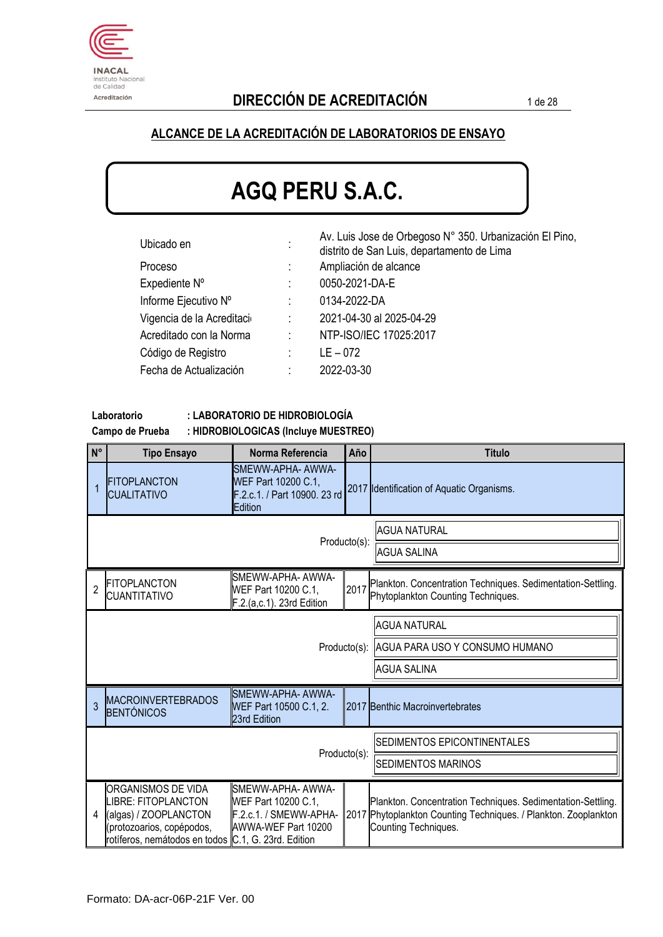

#### **ALCANCE DE LA ACREDITACIÓN DE LABORATORIOS DE ENSAYO**

# **AGQ PERU S.A.C.**

| Ubicado en                | $\cdot$<br>$\blacksquare$ | Av. Luis Jose de Orbegoso N° 350. Urbanización El Pino,<br>distrito de San Luis, departamento de Lima |
|---------------------------|---------------------------|-------------------------------------------------------------------------------------------------------|
| Proceso                   |                           | Ampliación de alcance                                                                                 |
| Expediente N°             | ÷                         | 0050-2021-DA-E                                                                                        |
| Informe Ejecutivo Nº      |                           | 0134-2022-DA                                                                                          |
| Vigencia de la Acreditaci | $\ddot{\phantom{a}}$      | 2021-04-30 al 2025-04-29                                                                              |
| Acreditado con la Norma   | ÷                         | NTP-ISO/IEC 17025:2017                                                                                |
| Código de Registro        | ÷                         | $LE - 072$                                                                                            |
| Fecha de Actualización    | ÷                         | 2022-03-30                                                                                            |

**Laboratorio : LABORATORIO DE HIDROBIOLOGÍA**

**Campo de Prueba : HIDROBIOLOGICAS (Incluye MUESTREO)**

| $N^{\circ}$    | <b>Tipo Ensayo</b>                                                                                                                                           | Norma Referencia                                                                          | Año                         | <b>Titulo</b>                                                                                                                                          |  |  |
|----------------|--------------------------------------------------------------------------------------------------------------------------------------------------------------|-------------------------------------------------------------------------------------------|-----------------------------|--------------------------------------------------------------------------------------------------------------------------------------------------------|--|--|
|                | <b>FITOPLANCTON</b><br><b>CUALITATIVO</b>                                                                                                                    | SMEWW-APHA- AWWA-<br>WEF Part 10200 C.1.<br>F.2.c.1. / Part 10900. 23 rd<br>Edition       |                             | 2017 Identification of Aquatic Organisms.                                                                                                              |  |  |
|                |                                                                                                                                                              |                                                                                           | Producto(s):                | <b>AGUA NATURAL</b>                                                                                                                                    |  |  |
|                |                                                                                                                                                              |                                                                                           |                             | <b>AGUA SALINA</b>                                                                                                                                     |  |  |
| $\overline{2}$ | <b>FITOPLANCTON</b><br><b>CUANTITATIVO</b>                                                                                                                   | SMEWW-APHA- AWWA-<br>WEF Part 10200 C.1,<br>F.2.(a,c.1). 23rd Edition                     | 2017                        | Plankton. Concentration Techniques. Sedimentation-Settling.<br>Phytoplankton Counting Techniques.                                                      |  |  |
|                | <b>AGUA NATURAL</b>                                                                                                                                          |                                                                                           |                             |                                                                                                                                                        |  |  |
|                |                                                                                                                                                              |                                                                                           |                             | Producto(s): AGUA PARA USO Y CONSUMO HUMANO                                                                                                            |  |  |
|                |                                                                                                                                                              |                                                                                           |                             | <b>AGUA SALINA</b>                                                                                                                                     |  |  |
| 3              | <b>MACROINVERTEBRADOS</b><br><b>BENTÓNICOS</b>                                                                                                               | SMEWW-APHA- AWWA-<br>WEF Part 10500 C.1, 2.<br>23rd Edition                               |                             | 2017 Benthic Macroinvertebrates                                                                                                                        |  |  |
|                |                                                                                                                                                              |                                                                                           | SEDIMENTOS EPICONTINENTALES |                                                                                                                                                        |  |  |
|                | Producto(s):<br><b>SEDIMENTOS MARINOS</b>                                                                                                                    |                                                                                           |                             |                                                                                                                                                        |  |  |
| 4              | ORGANISMOS DE VIDA<br><b>LIBRE: FITOPLANCTON</b><br>(algas) / ZOOPLANCTON<br>protozoarios, copépodos,<br>rotíferos, nemátodos en todos C.1, G. 23rd. Edition | SMEWW-APHA- AWWA-<br>WEF Part 10200 C.1,<br>F.2.c.1. / SMEWW-APHA-<br>AWWA-WEF Part 10200 |                             | Plankton. Concentration Techniques. Sedimentation-Settling.<br>2017 Phytoplankton Counting Techniques. / Plankton. Zooplankton<br>Counting Techniques. |  |  |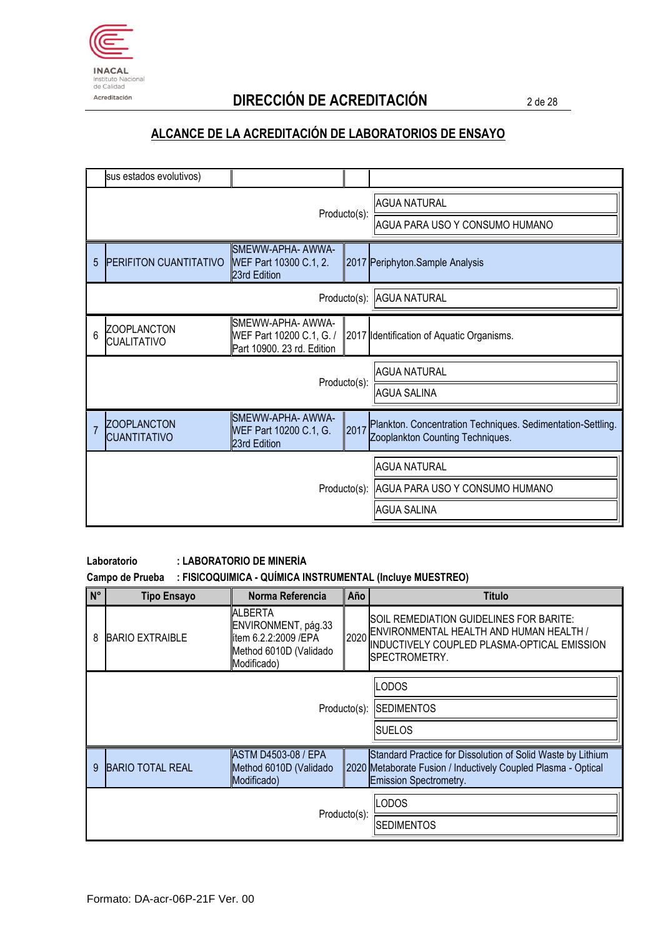

# Acreditación **DIRECCIÓN DE ACREDITACIÓN** 2 de 28

## **ALCANCE DE LA ACREDITACIÓN DE LABORATORIOS DE ENSAYO**

|                | sus estados evolutivos)                   |                                                                             |                                |                                                                                                 |
|----------------|-------------------------------------------|-----------------------------------------------------------------------------|--------------------------------|-------------------------------------------------------------------------------------------------|
|                | Producto(s):                              |                                                                             |                                | <b>AGUA NATURAL</b>                                                                             |
|                |                                           |                                                                             | AGUA PARA USO Y CONSUMO HUMANO |                                                                                                 |
| 5              | <b>PERIFITON CUANTITATIVO</b>             | SMEWW-APHA- AWWA-<br>WEF Part 10300 C.1, 2.<br>23rd Edition                 |                                | 2017 Periphyton.Sample Analysis                                                                 |
|                |                                           |                                                                             |                                | Producto(s): AGUA NATURAL                                                                       |
| 6              | <b>ZOOPLANCTON</b><br><b>CUALITATIVO</b>  | SMEWW-APHA- AWWA-<br>WEF Part 10200 C.1, G. /<br>Part 10900. 23 rd. Edition |                                | 2017 Identification of Aquatic Organisms.                                                       |
|                |                                           |                                                                             |                                | <b>AGUA NATURAL</b>                                                                             |
| Producto(s):   |                                           |                                                                             | <b>AGUA SALINA</b>             |                                                                                                 |
| $\overline{7}$ | <b>ZOOPLANCTON</b><br><b>CUANTITATIVO</b> | SMEWW-APHA- AWWA-<br>WEF Part 10200 C.1, G.<br>23rd Edition                 | 2017                           | Plankton. Concentration Techniques. Sedimentation-Settling.<br>Zooplankton Counting Techniques. |
|                |                                           |                                                                             |                                | <b>AGUA NATURAL</b>                                                                             |
|                |                                           |                                                                             |                                | Producto(s): AGUA PARA USO Y CONSUMO HUMANO                                                     |
|                |                                           |                                                                             |                                | <b>AGUA SALINA</b>                                                                              |

#### **Laboratorio : LABORATORIO DE MINERÍA**

#### **Campo de Prueba : FISICOQUIMICA - QUÍMICA INSTRUMENTAL (Incluye MUESTREO)**

| $N^{\circ}$                                                                                         | <b>Tipo Ensayo</b>      | Norma Referencia                                                                                        | Año  | <b>Titulo</b>                                                                                                                                                 |  |
|-----------------------------------------------------------------------------------------------------|-------------------------|---------------------------------------------------------------------------------------------------------|------|---------------------------------------------------------------------------------------------------------------------------------------------------------------|--|
| 8                                                                                                   | <b>BARIO EXTRAIBLE</b>  | <b>ALBERTA</b><br>ENVIRONMENT, pág.33<br>lítem 6.2.2:2009 /EPA<br>Method 6010D (Validado<br>Modificado) | 2020 | SOIL REMEDIATION GUIDELINES FOR BARITE:<br>ENVIRONMENTAL HEALTH AND HUMAN HEALTH /<br>INDUCTIVELY COUPLED PLASMA-OPTICAL EMISSION<br>SPECTROMETRY.            |  |
| <b>ODOS</b>                                                                                         |                         |                                                                                                         |      |                                                                                                                                                               |  |
|                                                                                                     | Producto(s): SEDIMENTOS |                                                                                                         |      |                                                                                                                                                               |  |
| <b>SUELOS</b>                                                                                       |                         |                                                                                                         |      |                                                                                                                                                               |  |
| <b>ASTM D4503-08 / EPA</b><br><b>BARIO TOTAL REAL</b><br>Method 6010D (Validado<br>9<br>Modificado) |                         |                                                                                                         |      | Standard Practice for Dissolution of Solid Waste by Lithium<br>2020 Metaborate Fusion / Inductively Coupled Plasma - Optical<br><b>Emission Spectrometry.</b> |  |
|                                                                                                     |                         |                                                                                                         |      | LODOS                                                                                                                                                         |  |
|                                                                                                     | Producto(s):            |                                                                                                         |      | <b>SEDIMENTOS</b>                                                                                                                                             |  |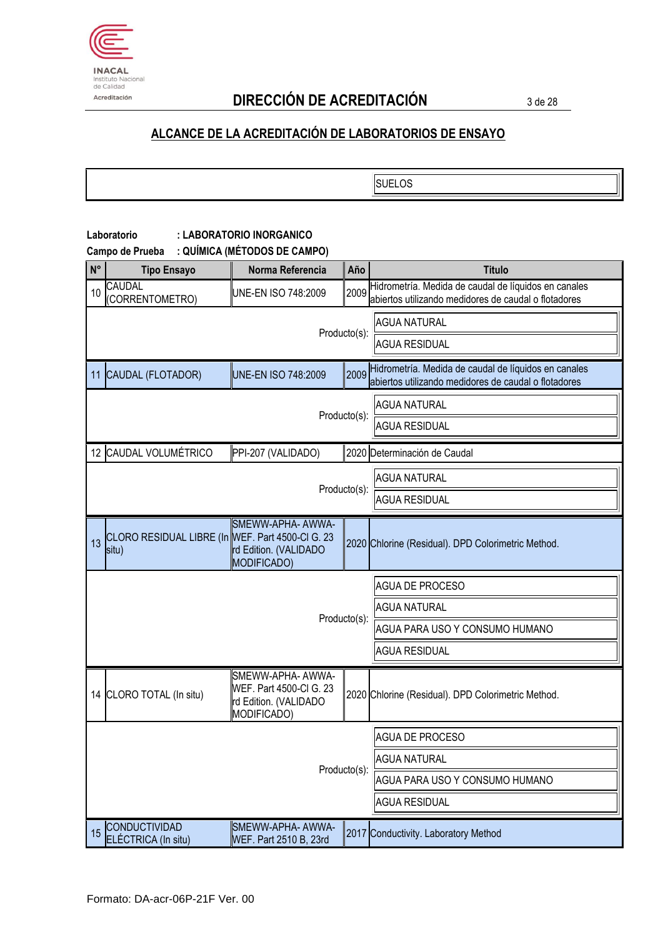

# Acreditación **DIRECCIÓN DE ACREDITACIÓN** 3 de 28

**SUELOS** 

#### **Laboratorio : LABORATORIO INORGANICO**

**Campo de Prueba : QUÍMICA (MÉTODOS DE CAMPO)**

| N° | <b>Tipo Ensayo</b>                                        | Norma Referencia                                                                     | Año                  | <b>Titulo</b>                                                                                                |
|----|-----------------------------------------------------------|--------------------------------------------------------------------------------------|----------------------|--------------------------------------------------------------------------------------------------------------|
| 10 | <b>CAUDAL</b><br>(CORRENTOMETRO)                          | UNE-EN ISO 748:2009                                                                  | 2009                 | Hidrometría. Medida de caudal de líquidos en canales<br>abiertos utilizando medidores de caudal o flotadores |
|    |                                                           |                                                                                      | <b>AGUA NATURAL</b>  |                                                                                                              |
|    |                                                           | Producto(s):                                                                         | <b>AGUA RESIDUAL</b> |                                                                                                              |
|    | 11 CAUDAL (FLOTADOR)                                      | UNE-EN ISO 748:2009                                                                  | 2009                 | Hidrometría. Medida de caudal de líquidos en canales<br>abiertos utilizando medidores de caudal o flotadores |
|    |                                                           |                                                                                      | Producto(s):         | <b>AGUA NATURAL</b>                                                                                          |
|    |                                                           |                                                                                      |                      | <b>AGUA RESIDUAL</b>                                                                                         |
|    | 12 CAUDAL VOLUMÉTRICO                                     | PPI-207 (VALIDADO)                                                                   |                      | 2020 Determinación de Caudal                                                                                 |
|    |                                                           |                                                                                      |                      | <b>AGUA NATURAL</b>                                                                                          |
|    |                                                           |                                                                                      | Producto(s):         | <b>AGUA RESIDUAL</b>                                                                                         |
| 13 | CLORO RESIDUAL LIBRE (In WEF. Part 4500-CI G. 23<br>situ) | SMEWW-APHA- AWWA-<br>rd Edition. (VALIDADO<br><b>MODIFICADO)</b>                     |                      | 2020 Chlorine (Residual). DPD Colorimetric Method.                                                           |
|    |                                                           |                                                                                      |                      | <b>AGUA DE PROCESO</b>                                                                                       |
|    | Producto(s):                                              |                                                                                      |                      | <b>AGUA NATURAL</b>                                                                                          |
|    |                                                           |                                                                                      |                      | AGUA PARA USO Y CONSUMO HUMANO                                                                               |
|    |                                                           |                                                                                      |                      | <b>AGUA RESIDUAL</b>                                                                                         |
|    | 14 CLORO TOTAL (In situ)                                  | SMEWW-APHA- AWWA-<br>WEF. Part 4500-Cl G. 23<br>rd Edition. (VALIDADO<br>MODIFICADO) |                      | 2020 Chlorine (Residual). DPD Colorimetric Method.                                                           |
|    |                                                           |                                                                                      |                      | <b>AGUA DE PROCESO</b>                                                                                       |
|    |                                                           |                                                                                      |                      | <b>AGUA NATURAL</b>                                                                                          |
|    |                                                           |                                                                                      | Producto(s):         | AGUA PARA USO Y CONSUMO HUMANO                                                                               |
|    |                                                           |                                                                                      |                      | <b>AGUA RESIDUAL</b>                                                                                         |
| 15 | CONDUCTIVIDAD<br>ELÉCTRICA (In situ)                      | SMEWW-APHA- AWWA-<br>WEF. Part 2510 B, 23rd                                          |                      | 2017 Conductivity. Laboratory Method                                                                         |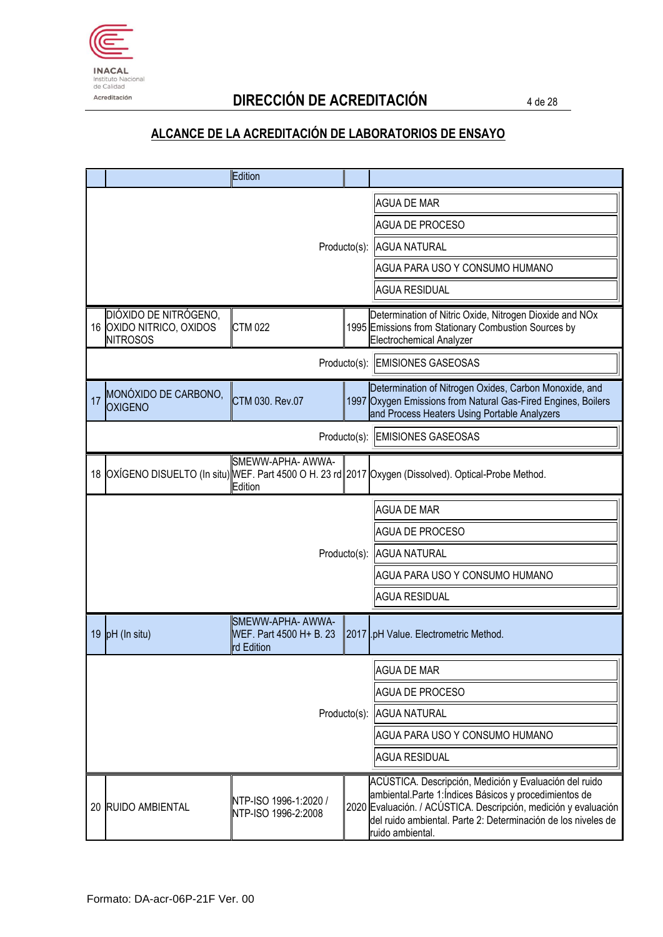

# Acreditación **DIRECCIÓN DE ACREDITACIÓN** 4 de 28

|    |                                                                      | Edition                                                     |                                |                                                                                                                                                                                                                                                                         |
|----|----------------------------------------------------------------------|-------------------------------------------------------------|--------------------------------|-------------------------------------------------------------------------------------------------------------------------------------------------------------------------------------------------------------------------------------------------------------------------|
|    |                                                                      |                                                             |                                | <b>AGUA DE MAR</b>                                                                                                                                                                                                                                                      |
|    |                                                                      |                                                             |                                | <b>AGUA DE PROCESO</b>                                                                                                                                                                                                                                                  |
|    |                                                                      |                                                             | Producto(s): AGUA NATURAL      |                                                                                                                                                                                                                                                                         |
|    |                                                                      |                                                             | AGUA PARA USO Y CONSUMO HUMANO |                                                                                                                                                                                                                                                                         |
|    |                                                                      |                                                             |                                | <b>AGUA RESIDUAL</b>                                                                                                                                                                                                                                                    |
|    | DIÓXIDO DE NITRÓGENO,<br>16 OXIDO NITRICO, OXIDOS<br><b>NITROSOS</b> | <b>CTM 022</b>                                              |                                | Determination of Nitric Oxide, Nitrogen Dioxide and NOx<br>1995 Emissions from Stationary Combustion Sources by<br>Electrochemical Analyzer                                                                                                                             |
|    |                                                                      |                                                             |                                | Producto(s): EMISIONES GASEOSAS                                                                                                                                                                                                                                         |
| 17 | MONÓXIDO DE CARBONO,<br><b>OXIGENO</b>                               | CTM 030. Rev.07                                             |                                | Determination of Nitrogen Oxides, Carbon Monoxide, and<br>1997 Oxygen Emissions from Natural Gas-Fired Engines, Boilers<br>and Process Heaters Using Portable Analyzers                                                                                                 |
|    |                                                                      |                                                             | Producto(s):                   | <b>EMISIONES GASEOSAS</b>                                                                                                                                                                                                                                               |
|    |                                                                      | SMEWW-APHA- AWWA-<br>Edition                                |                                | 18 OXÍGENO DISUELTO (In situ) WEF. Part 4500 O H. 23 rd 2017 Oxygen (Dissolved). Optical-Probe Method.                                                                                                                                                                  |
|    |                                                                      |                                                             |                                | <b>AGUA DE MAR</b>                                                                                                                                                                                                                                                      |
|    |                                                                      |                                                             |                                | <b>AGUA DE PROCESO</b>                                                                                                                                                                                                                                                  |
|    |                                                                      |                                                             |                                | Producto(s): AGUA NATURAL                                                                                                                                                                                                                                               |
|    |                                                                      |                                                             |                                | AGUA PARA USO Y CONSUMO HUMANO                                                                                                                                                                                                                                          |
|    |                                                                      |                                                             |                                | <b>AGUA RESIDUAL</b>                                                                                                                                                                                                                                                    |
|    | 19 $pH$ (In situ)                                                    | SMEWW-APHA- AWWA-<br>WEF. Part 4500 H + B. 23<br>rd Edition |                                | 2017 .pH Value. Electrometric Method.                                                                                                                                                                                                                                   |
|    |                                                                      |                                                             |                                | AGUA DE MAR                                                                                                                                                                                                                                                             |
|    |                                                                      |                                                             |                                | <b>AGUA DE PROCESO</b>                                                                                                                                                                                                                                                  |
|    |                                                                      | Producto(s):                                                | <b>AGUA NATURAL</b>            |                                                                                                                                                                                                                                                                         |
|    |                                                                      |                                                             |                                | AGUA PARA USO Y CONSUMO HUMANO                                                                                                                                                                                                                                          |
|    |                                                                      |                                                             | <b>AGUA RESIDUAL</b>           |                                                                                                                                                                                                                                                                         |
|    | 20 RUIDO AMBIENTAL                                                   | NTP-ISO 1996-1:2020 /<br>NTP-ISO 1996-2:2008                |                                | ACÚSTICA. Descripción, Medición y Evaluación del ruido<br>ambiental.Parte 1:Índices Básicos y procedimientos de<br>2020 Evaluación. / ACÚSTICA. Descripción, medición y evaluación<br>del ruido ambiental. Parte 2: Determinación de los niveles de<br>ruido ambiental. |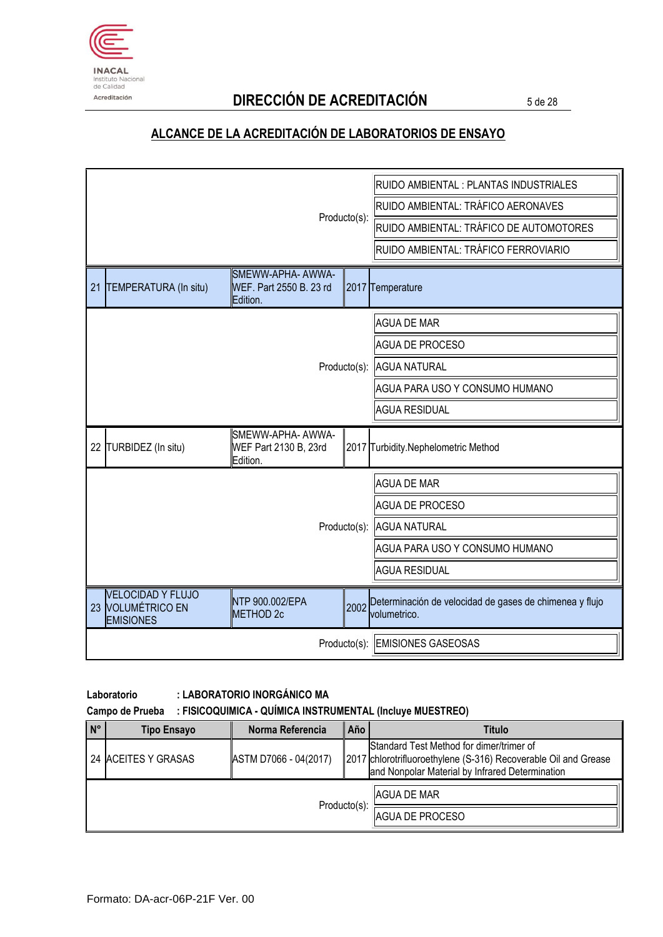

# Acreditación **DIRECCIÓN DE ACREDITACIÓN** 5 de 28

#### **ALCANCE DE LA ACREDITACIÓN DE LABORATORIOS DE ENSAYO**

|                                                                   |                                                          |              | RUIDO AMBIENTAL : PLANTAS INDUSTRIALES                                  |  |
|-------------------------------------------------------------------|----------------------------------------------------------|--------------|-------------------------------------------------------------------------|--|
|                                                                   |                                                          | Producto(s): | RUIDO AMBIENTAL: TRÁFICO AERONAVES                                      |  |
|                                                                   |                                                          |              | RUIDO AMBIENTAL: TRÁFICO DE AUTOMOTORES                                 |  |
|                                                                   |                                                          |              | RUIDO AMBIENTAL: TRÁFICO FERROVIARIO                                    |  |
| TEMPERATURA (In situ)<br>21                                       | SMEWW-APHA- AWWA-<br>WEF. Part 2550 B. 23 rd<br>Edition. |              | 2017 Temperature                                                        |  |
|                                                                   |                                                          |              | <b>AGUA DE MAR</b>                                                      |  |
|                                                                   |                                                          |              | <b>AGUA DE PROCESO</b>                                                  |  |
| Producto(s):                                                      |                                                          |              | <b>AGUA NATURAL</b>                                                     |  |
|                                                                   |                                                          |              | AGUA PARA USO Y CONSUMO HUMANO                                          |  |
|                                                                   |                                                          |              | <b>AGUA RESIDUAL</b>                                                    |  |
| 22 TURBIDEZ (In situ)                                             | SMEWW-APHA- AWWA-<br>WEF Part 2130 B, 23rd<br>Edition.   |              | 2017 Turbidity.Nephelometric Method                                     |  |
|                                                                   |                                                          |              | <b>AGUA DE MAR</b>                                                      |  |
|                                                                   |                                                          |              | <b>AGUA DE PROCESO</b>                                                  |  |
|                                                                   |                                                          | Producto(s): | <b>AGUA NATURAL</b>                                                     |  |
|                                                                   |                                                          |              | AGUA PARA USO Y CONSUMO HUMANO                                          |  |
|                                                                   |                                                          |              | <b>AGUA RESIDUAL</b>                                                    |  |
| <b>VELOCIDAD Y FLUJO</b><br>23 VOLUMÉTRICO EN<br><b>EMISIONES</b> | NTP 900.002/EPA<br>METHOD <sub>2c</sub>                  | 2002         | Determinación de velocidad de gases de chimenea y flujo<br>volumetrico. |  |
| Producto(s): EMISIONES GASEOSAS                                   |                                                          |              |                                                                         |  |

#### **Laboratorio : LABORATORIO INORGÁNICO MA**

**Campo de Prueba : FISICOQUIMICA - QUÍMICA INSTRUMENTAL (Incluye MUESTREO)**

| $\overline{N}$ | <b>Tipo Ensayo</b>  | Norma Referencia      | Año | <b>Titulo</b>                                                                                                                                                  |
|----------------|---------------------|-----------------------|-----|----------------------------------------------------------------------------------------------------------------------------------------------------------------|
|                | 24 ACEITES Y GRASAS | ASTM D7066 - 04(2017) |     | Standard Test Method for dimer/trimer of<br>2017 chlorotrifluoroethylene (S-316) Recoverable Oil and Grease<br>and Nonpolar Material by Infrared Determination |
|                | Producto(s):        |                       |     | AGUA DE MAR                                                                                                                                                    |
|                |                     |                       |     | AGUA DE PROCESO                                                                                                                                                |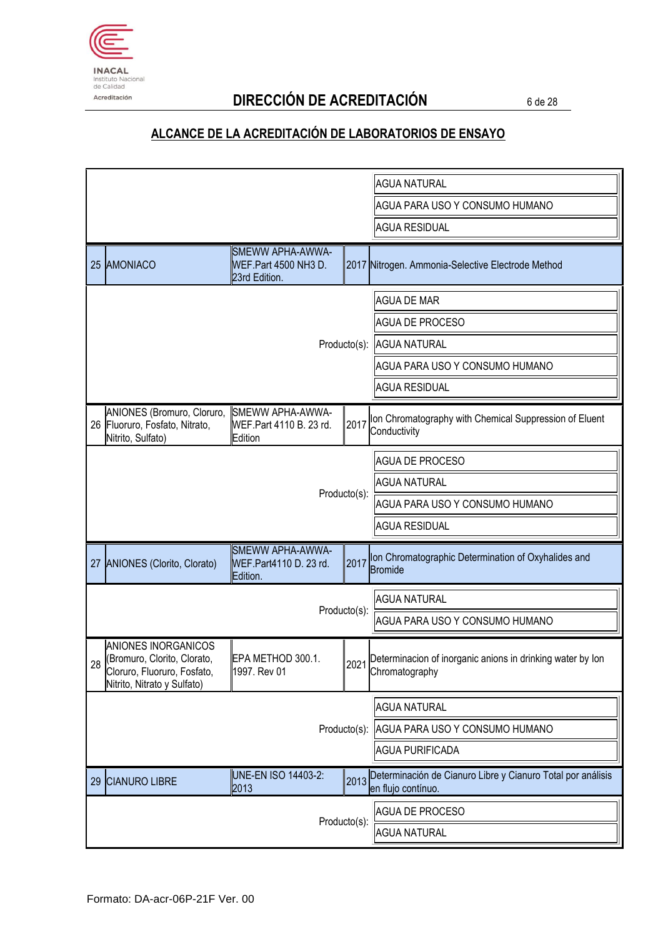

# Acreditación **DIRECCIÓN DE ACREDITACIÓN** 6 de 28

|                                                                                                                     |                                                           |              | <b>AGUA NATURAL</b>                                                               |
|---------------------------------------------------------------------------------------------------------------------|-----------------------------------------------------------|--------------|-----------------------------------------------------------------------------------|
|                                                                                                                     |                                                           |              | AGUA PARA USO Y CONSUMO HUMANO                                                    |
|                                                                                                                     |                                                           |              | <b>AGUA RESIDUAL</b>                                                              |
| 25 AMONIACO                                                                                                         | SMEWW APHA-AWWA-<br>WEF.Part 4500 NH3 D.<br>23rd Edition. |              | 2017 Nitrogen. Ammonia-Selective Electrode Method                                 |
|                                                                                                                     |                                                           |              | <b>AGUA DE MAR</b>                                                                |
|                                                                                                                     |                                                           |              | <b>AGUA DE PROCESO</b>                                                            |
|                                                                                                                     |                                                           |              | Producto(s): AGUA NATURAL                                                         |
|                                                                                                                     |                                                           |              | AGUA PARA USO Y CONSUMO HUMANO                                                    |
|                                                                                                                     |                                                           |              | <b>AGUA RESIDUAL</b>                                                              |
| ANIONES (Bromuro, Cloruro,<br>26 Fluoruro, Fosfato, Nitrato,<br>Nitrito, Sulfato)                                   | SMEWW APHA-AWWA-<br>WEF.Part 4110 B. 23 rd.<br>Edition    | 2017         | Ion Chromatography with Chemical Suppression of Eluent<br>Conductivity            |
|                                                                                                                     |                                                           |              | <b>AGUA DE PROCESO</b>                                                            |
|                                                                                                                     |                                                           |              | <b>AGUA NATURAL</b>                                                               |
|                                                                                                                     |                                                           | Producto(s): | AGUA PARA USO Y CONSUMO HUMANO                                                    |
|                                                                                                                     |                                                           |              | <b>AGUA RESIDUAL</b>                                                              |
| 27 ANIONES (Clorito, Clorato)                                                                                       | SMEWW APHA-AWWA-<br>WEF.Part4110 D. 23 rd.<br>Edition.    | 2017         | Ion Chromatographic Determination of Oxyhalides and<br><b>Bromide</b>             |
|                                                                                                                     |                                                           |              | <b>AGUA NATURAL</b>                                                               |
|                                                                                                                     |                                                           | Producto(s): | AGUA PARA USO Y CONSUMO HUMANO                                                    |
| ANIONES INORGANICOS<br>28 (Bromuro, Clorito, Clorato,<br>Cloruro, Fluoruro, Fosfato,<br>Nitrito, Nitrato y Sulfato) | EPA METHOD 300.1.<br>1997. Rev 01                         |              | 2021 Determinacion of inorganic anions in drinking water by lon<br>Chromatography |
|                                                                                                                     |                                                           |              | <b>AGUA NATURAL</b>                                                               |
|                                                                                                                     |                                                           | Producto(s): | AGUA PARA USO Y CONSUMO HUMANO                                                    |
|                                                                                                                     |                                                           |              | <b>AGUA PURIFICADA</b>                                                            |
| <b>CIANURO LIBRE</b><br>29                                                                                          | UNE-EN ISO 14403-2:<br>2013                               | 2013         | Determinación de Cianuro Libre y Cianuro Total por análisis<br>en flujo contínuo. |
|                                                                                                                     |                                                           | Producto(s): | <b>AGUA DE PROCESO</b>                                                            |
|                                                                                                                     |                                                           |              | <b>AGUA NATURAL</b>                                                               |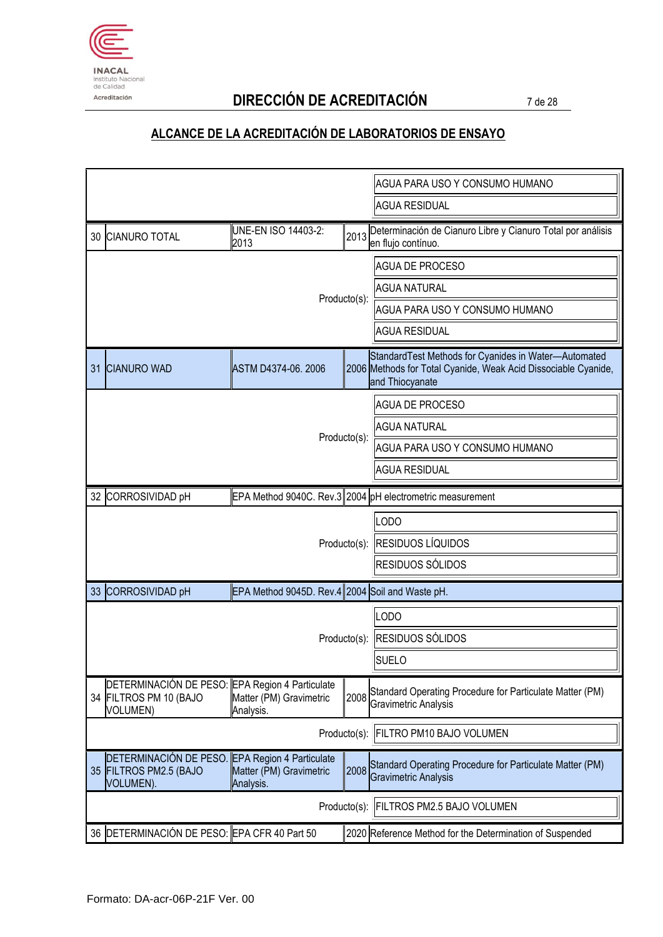

# Acreditación **DIRECCIÓN DE ACREDITACIÓN** 7 de 28

|                                                                                              |                                                                         |              | AGUA PARA USO Y CONSUMO HUMANO                                                                                                             |
|----------------------------------------------------------------------------------------------|-------------------------------------------------------------------------|--------------|--------------------------------------------------------------------------------------------------------------------------------------------|
|                                                                                              |                                                                         |              | <b>AGUA RESIDUAL</b>                                                                                                                       |
| 30 CIANURO TOTAL                                                                             | UNE-EN ISO 14403-2:<br>2013                                             | 2013         | Determinación de Cianuro Libre y Cianuro Total por análisis<br>en flujo contínuo.                                                          |
|                                                                                              |                                                                         |              | <b>AGUA DE PROCESO</b>                                                                                                                     |
|                                                                                              |                                                                         |              | <b>AGUA NATURAL</b>                                                                                                                        |
|                                                                                              |                                                                         | Producto(s): | AGUA PARA USO Y CONSUMO HUMANO                                                                                                             |
|                                                                                              |                                                                         |              | <b>AGUA RESIDUAL</b>                                                                                                                       |
| 31 CIANURO WAD                                                                               | ASTM D4374-06. 2006                                                     |              | Standard Test Methods for Cyanides in Water-Automated<br>2006 Methods for Total Cyanide, Weak Acid Dissociable Cyanide,<br>and Thiocyanate |
|                                                                                              |                                                                         |              | <b>AGUA DE PROCESO</b>                                                                                                                     |
|                                                                                              |                                                                         |              | <b>AGUA NATURAL</b>                                                                                                                        |
|                                                                                              |                                                                         | Producto(s): | AGUA PARA USO Y CONSUMO HUMANO                                                                                                             |
|                                                                                              |                                                                         |              | <b>AGUA RESIDUAL</b>                                                                                                                       |
| 32 CORROSIVIDAD pH                                                                           |                                                                         |              | EPA Method 9040C. Rev.3 2004 pH electrometric measurement                                                                                  |
|                                                                                              |                                                                         |              | <b>LODO</b>                                                                                                                                |
|                                                                                              |                                                                         |              | Producto(s): RESIDUOS LÍQUIDOS                                                                                                             |
|                                                                                              |                                                                         |              | <b>RESIDUOS SÓLIDOS</b>                                                                                                                    |
| 33 CORROSIVIDAD pH                                                                           | EPA Method 9045D. Rev.4 2004 Soil and Waste pH.                         |              |                                                                                                                                            |
|                                                                                              |                                                                         |              | LODO                                                                                                                                       |
|                                                                                              |                                                                         |              | Producto(s): RESIDUOS SÓLIDOS                                                                                                              |
|                                                                                              |                                                                         |              | <b>SUELO</b>                                                                                                                               |
| DETERMINACIÓN DE PESO: EPA Region 4 Particulate<br>34 FILTROS PM 10 (BAJO<br><b>VOLUMEN)</b> | Matter (PM) Gravimetric<br>Analysis.                                    | 2008         | Standard Operating Procedure for Particulate Matter (PM)<br>Gravimetric Analysis                                                           |
|                                                                                              |                                                                         | Producto(s): | FILTRO PM10 BAJO VOLUMEN                                                                                                                   |
| DETERMINACIÓN DE PESO.<br>35 FILTROS PM2.5 (BAJO<br><b>VOLUMEN).</b>                         | <b>EPA Region 4 Particulate</b><br>Matter (PM) Gravimetric<br>Analysis. | 2008         | Standard Operating Procedure for Particulate Matter (PM)<br><b>Gravimetric Analysis</b>                                                    |
|                                                                                              |                                                                         | Producto(s): | FILTROS PM2.5 BAJO VOLUMEN                                                                                                                 |
| 36 DETERMINACIÓN DE PESO: EPA CFR 40 Part 50                                                 |                                                                         |              | 2020 Reference Method for the Determination of Suspended                                                                                   |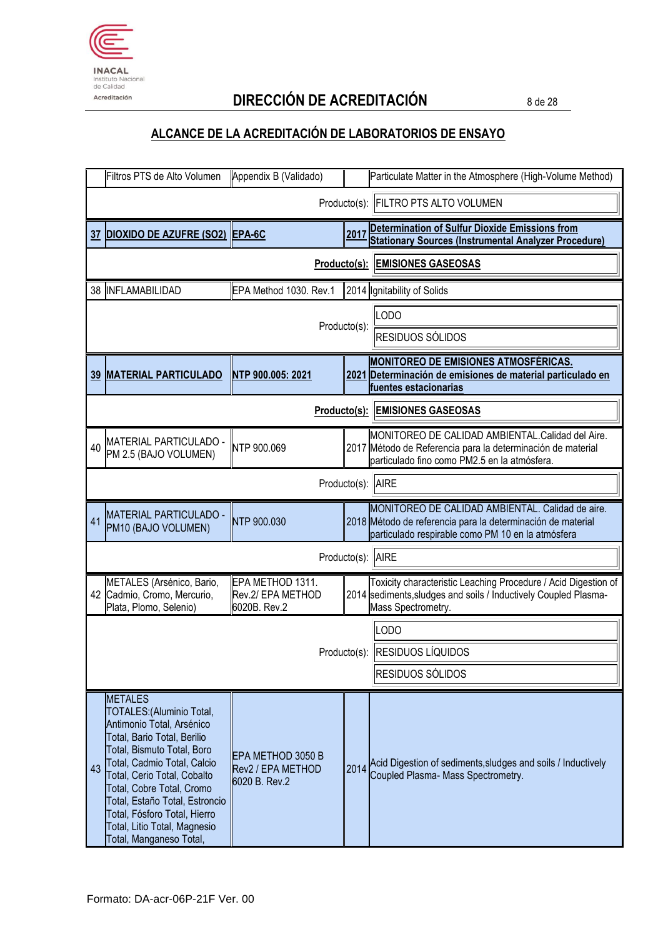

Acreditación **DIRECCIÓN DE ACREDITACIÓN** 8 de 28

|    | Filtros PTS de Alto Volumen                                                                                                                                                                                                                                                                                                                                   | Appendix B (Validado)                                   |              | Particulate Matter in the Atmosphere (High-Volume Method)                                                                                                            |
|----|---------------------------------------------------------------------------------------------------------------------------------------------------------------------------------------------------------------------------------------------------------------------------------------------------------------------------------------------------------------|---------------------------------------------------------|--------------|----------------------------------------------------------------------------------------------------------------------------------------------------------------------|
|    |                                                                                                                                                                                                                                                                                                                                                               |                                                         |              | Producto(s): FILTRO PTS ALTO VOLUMEN                                                                                                                                 |
| 37 | <b>DIOXIDO DE AZUFRE (SO2) EPA-6C</b>                                                                                                                                                                                                                                                                                                                         |                                                         | 2017         | Determination of Sulfur Dioxide Emissions from<br><b>Stationary Sources (Instrumental Analyzer Procedure)</b>                                                        |
|    |                                                                                                                                                                                                                                                                                                                                                               | Producto(s):                                            |              | <b>EMISIONES GASEOSAS</b>                                                                                                                                            |
|    | 38 INFLAMABILIDAD                                                                                                                                                                                                                                                                                                                                             | EPA Method 1030. Rev.1                                  |              | 2014 Ignitability of Solids                                                                                                                                          |
|    |                                                                                                                                                                                                                                                                                                                                                               |                                                         | Producto(s): | <b>LODO</b><br>RESIDUOS SÓLIDOS                                                                                                                                      |
|    | <b>39 MATERIAL PARTICULADO</b>                                                                                                                                                                                                                                                                                                                                | NTP 900.005: 2021                                       |              | <b>MONITOREO DE EMISIONES ATMOSFÉRICAS.</b><br>2021 Determinación de emisiones de material particulado en<br>fuentes estacionarias                                   |
|    |                                                                                                                                                                                                                                                                                                                                                               |                                                         |              | <b>Producto(s): EMISIONES GASEOSAS</b>                                                                                                                               |
| 40 | MATERIAL PARTICULADO -<br>PM 2.5 (BAJO VOLUMEN)                                                                                                                                                                                                                                                                                                               | NTP 900.069                                             |              | MONITOREO DE CALIDAD AMBIENTAL.Calidad del Aire.<br>2017 Método de Referencia para la determinación de material<br>particulado fino como PM2.5 en la atmósfera.      |
|    |                                                                                                                                                                                                                                                                                                                                                               |                                                         | Producto(s): | <b>AIRE</b>                                                                                                                                                          |
| 41 | <b>MATERIAL PARTICULADO -</b><br>PM10 (BAJO VOLUMEN)                                                                                                                                                                                                                                                                                                          | NTP 900.030                                             |              | MONITOREO DE CALIDAD AMBIENTAL. Calidad de aire.<br>2018 Método de referencia para la determinación de material<br>particulado respirable como PM 10 en la atmósfera |
|    |                                                                                                                                                                                                                                                                                                                                                               |                                                         |              | Producto(s): AIRE                                                                                                                                                    |
|    | METALES (Arsénico, Bario,<br>42 Cadmio, Cromo, Mercurio,<br>Plata, Plomo, Selenio)                                                                                                                                                                                                                                                                            | EPA METHOD 1311.<br>Rev.2/ EPA METHOD<br>6020B. Rev.2   |              | Toxicity characteristic Leaching Procedure / Acid Digestion of<br>2014 sediments, sludges and soils / Inductively Coupled Plasma-<br>Mass Spectrometry.              |
|    |                                                                                                                                                                                                                                                                                                                                                               |                                                         |              | OD <sub>O</sub>                                                                                                                                                      |
|    |                                                                                                                                                                                                                                                                                                                                                               |                                                         |              | Producto(s): RESIDUOS LÍQUIDOS                                                                                                                                       |
|    |                                                                                                                                                                                                                                                                                                                                                               |                                                         |              | RESIDUOS SÓLIDOS                                                                                                                                                     |
| 43 | <b>METALES</b><br>TOTALES: (Aluminio Total,<br>Antimonio Total, Arsénico<br>Total, Bario Total, Berilio<br>Total, Bismuto Total, Boro<br>Total, Cadmio Total, Calcio<br>Total, Cerio Total, Cobalto<br>Total, Cobre Total, Cromo<br>Total, Estaño Total, Estroncio<br>Total, Fósforo Total, Hierro<br>Total, Litio Total, Magnesio<br>Total, Manganeso Total, | EPA METHOD 3050 B<br>Rev2 / EPA METHOD<br>6020 B. Rev.2 |              | 2014 Acid Digestion of sediments, sludges and soils / Inductively<br>Coupled Plasma- Mass Spectrometry.                                                              |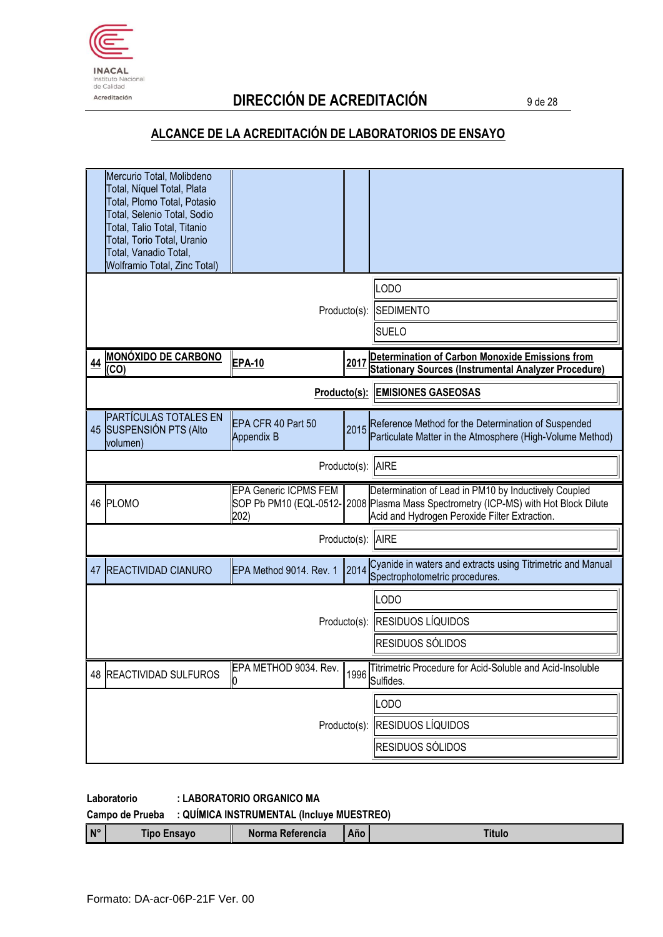

# Acreditación **DIRECCIÓN DE ACREDITACIÓN** 9 de 28

## **ALCANCE DE LA ACREDITACIÓN DE LABORATORIOS DE ENSAYO**

|              | Mercurio Total, Molibdeno<br>Total, Níquel Total, Plata<br>Total, Plomo Total, Potasio<br>Total, Selenio Total, Sodio<br>Total, Talio Total, Titanio<br>Total, Torio Total, Uranio<br>Total, Vanadio Total, |                                      |                                          |                                                                                                                                                                                             |  |
|--------------|-------------------------------------------------------------------------------------------------------------------------------------------------------------------------------------------------------------|--------------------------------------|------------------------------------------|---------------------------------------------------------------------------------------------------------------------------------------------------------------------------------------------|--|
|              | <b>Wolframio Total, Zinc Total)</b>                                                                                                                                                                         | Producto(s):                         | LODO<br><b>SEDIMENTO</b><br><b>SUELO</b> |                                                                                                                                                                                             |  |
| <u>44</u>    | <b>MONÓXIDO DE CARBONO</b><br>(CO)                                                                                                                                                                          | <b>EPA-10</b>                        | 2017                                     | Determination of Carbon Monoxide Emissions from<br><b>Stationary Sources (Instrumental Analyzer Procedure)</b>                                                                              |  |
| Producto(s): |                                                                                                                                                                                                             |                                      |                                          | <b>EMISIONES GASEOSAS</b>                                                                                                                                                                   |  |
|              | <b>PARTÍCULAS TOTALES EN</b><br>45 SUSPENSIÓN PTS (Alto<br>volumen)                                                                                                                                         | EPA CFR 40 Part 50<br>Appendix B     | 2015                                     | Reference Method for the Determination of Suspended<br>Particulate Matter in the Atmosphere (High-Volume Method)                                                                            |  |
|              |                                                                                                                                                                                                             |                                      | Producto(s):                             | <b>AIRE</b>                                                                                                                                                                                 |  |
|              | 46 PLOMO                                                                                                                                                                                                    | <b>EPA Generic ICPMS FEM</b><br>202) |                                          | Determination of Lead in PM10 by Inductively Coupled<br>SOP Pb PM10 (EQL-0512-2008 Plasma Mass Spectrometry (ICP-MS) with Hot Block Dilute<br>Acid and Hydrogen Peroxide Filter Extraction. |  |
|              |                                                                                                                                                                                                             |                                      | Producto(s):                             | <b>AIRE</b>                                                                                                                                                                                 |  |
| 47           | <b>REACTIVIDAD CIANURO</b>                                                                                                                                                                                  | EPA Method 9014. Rev. 1              | 2014                                     | Cyanide in waters and extracts using Titrimetric and Manual<br>Spectrophotometric procedures.                                                                                               |  |
|              |                                                                                                                                                                                                             |                                      |                                          | LODO                                                                                                                                                                                        |  |
|              |                                                                                                                                                                                                             |                                      |                                          | Producto(s): RESIDUOS LÍQUIDOS                                                                                                                                                              |  |
|              |                                                                                                                                                                                                             |                                      |                                          | RESIDUOS SÓLIDOS                                                                                                                                                                            |  |
|              | 48 REACTIVIDAD SULFUROS                                                                                                                                                                                     | EPA METHOD 9034. Rev.                | 1996                                     | Titrimetric Procedure for Acid-Soluble and Acid-Insoluble<br>Sulfides.                                                                                                                      |  |
|              |                                                                                                                                                                                                             |                                      |                                          | LODO                                                                                                                                                                                        |  |
|              |                                                                                                                                                                                                             | Producto(s):                         | <b>RESIDUOS LÍQUIDOS</b>                 |                                                                                                                                                                                             |  |
|              |                                                                                                                                                                                                             |                                      |                                          | RESIDUOS SÓLIDOS                                                                                                                                                                            |  |

#### **Laboratorio : LABORATORIO ORGANICO MA**

**Campo de Prueba : QUÍMICA INSTRUMENTAL (Incluye MUESTREO)**

|  | $N^{\circ}$ | -neavr<br><b>Tipc</b> | <b>THE MINE AT L</b><br>Referencia | Año |  |
|--|-------------|-----------------------|------------------------------------|-----|--|
|--|-------------|-----------------------|------------------------------------|-----|--|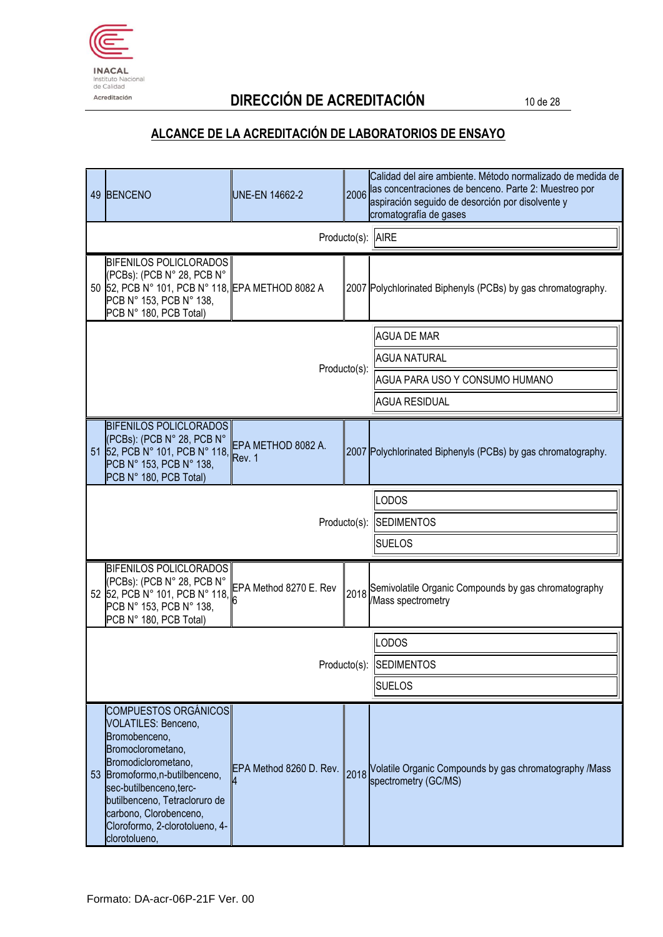

# Acreditación **DIRECCIÓN DE ACREDITACIÓN** 10 de 28

|              | 49 BENCENO                                                                                                                                                                                                                                                                                 | UNE-EN 14662-2          | 2006              | Calidad del aire ambiente. Método normalizado de medida de<br>las concentraciones de benceno. Parte 2: Muestreo por<br>aspiración seguido de desorción por disolvente y<br>cromatografía de gases |
|--------------|--------------------------------------------------------------------------------------------------------------------------------------------------------------------------------------------------------------------------------------------------------------------------------------------|-------------------------|-------------------|---------------------------------------------------------------------------------------------------------------------------------------------------------------------------------------------------|
|              |                                                                                                                                                                                                                                                                                            |                         |                   | Producto(s): AIRE                                                                                                                                                                                 |
|              | BIFENILOS POLICLORADOS<br>(PCBs): (PCB N° 28, PCB N°<br>50 52, PCB N° 101, PCB N° 118, EPA METHOD 8082 A<br>PCB N° 153, PCB N° 138,<br>PCB N° 180, PCB Total)                                                                                                                              |                         |                   | 2007 Polychlorinated Biphenyls (PCBs) by gas chromatography.                                                                                                                                      |
|              |                                                                                                                                                                                                                                                                                            |                         |                   | <b>AGUA DE MAR</b>                                                                                                                                                                                |
|              |                                                                                                                                                                                                                                                                                            |                         | Producto(s):      | <b>AGUA NATURAL</b>                                                                                                                                                                               |
|              |                                                                                                                                                                                                                                                                                            |                         |                   | AGUA PARA USO Y CONSUMO HUMANO                                                                                                                                                                    |
|              |                                                                                                                                                                                                                                                                                            |                         |                   | <b>AGUA RESIDUAL</b>                                                                                                                                                                              |
|              | <b>BIFENILOS POLICLORADOS</b><br>(PCBs): (PCB N° 28, PCB N°<br>51 52, PCB N° 101, PCB N° 118, Rev. 1<br>PCB N° 153, PCB N° 138,<br>PCB N° 180, PCB Total)                                                                                                                                  | EPA METHOD 8082 A.      |                   | 2007 Polychlorinated Biphenyls (PCBs) by gas chromatography.                                                                                                                                      |
|              |                                                                                                                                                                                                                                                                                            |                         |                   | <b>LODOS</b>                                                                                                                                                                                      |
| Producto(s): |                                                                                                                                                                                                                                                                                            |                         | <b>SEDIMENTOS</b> |                                                                                                                                                                                                   |
|              |                                                                                                                                                                                                                                                                                            |                         |                   | <b>SUELOS</b>                                                                                                                                                                                     |
|              | BIFENILOS POLICLORADOS<br>(PCBs): (PCB N° 28, PCB N°<br>52 52, PCB N° 101, PCB N° 118,<br>PCB N° 153, PCB N° 138,<br>PCB N° 180, PCB Total)                                                                                                                                                | EPA Method 8270 E. Rev  |                   | 2018 Semivolatile Organic Compounds by gas chromatography<br>/Mass spectrometry                                                                                                                   |
|              |                                                                                                                                                                                                                                                                                            |                         |                   | <b>LODOS</b>                                                                                                                                                                                      |
|              |                                                                                                                                                                                                                                                                                            |                         |                   | Producto(s): SEDIMENTOS                                                                                                                                                                           |
|              |                                                                                                                                                                                                                                                                                            |                         |                   | <b>SUELOS</b>                                                                                                                                                                                     |
|              | <b>COMPUESTOS ORGÁNICOS</b><br>VOLATILES: Benceno,<br>Bromobenceno,<br>Bromoclorometano,<br>Bromodiclorometano,<br>53 Bromoformo, n-butilbenceno,<br>sec-butilbenceno, terc-<br>butilbenceno, Tetracloruro de<br>carbono, Clorobenceno,<br>Cloroformo, 2-clorotolueno, 4-<br>clorotolueno, | EPA Method 8260 D. Rev. | 2018              | Volatile Organic Compounds by gas chromatography /Mass<br>spectrometry (GC/MS)                                                                                                                    |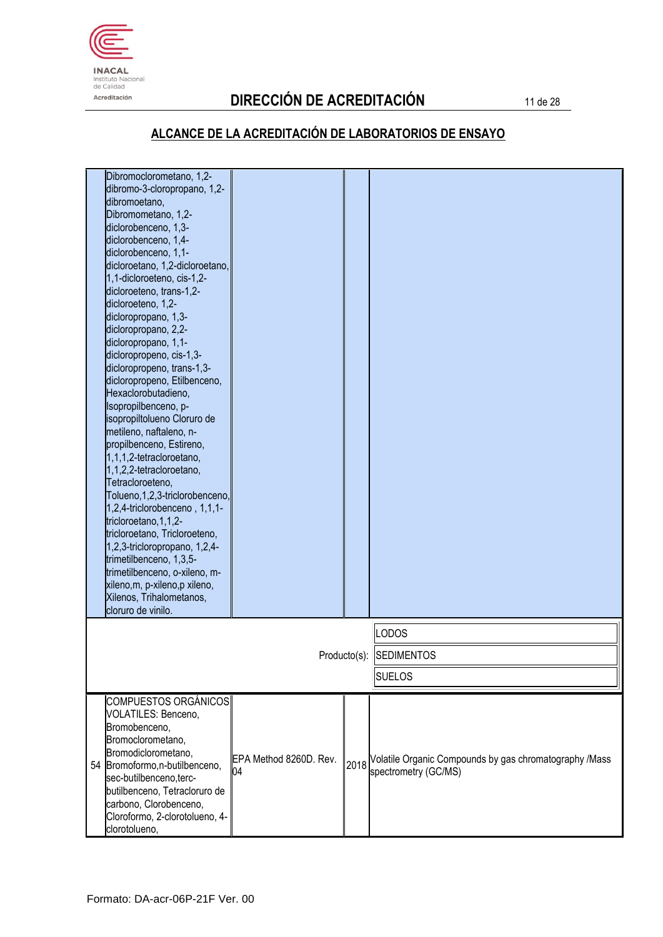

# Acreditación **DIRECCIÓN DE ACREDITACIÓN** 11 de 28

| Dibromoclorometano, 1,2-<br>dibromo-3-cloropropano, 1,2-<br>dibromoetano,<br>Dibromometano, 1,2-<br>diclorobenceno, 1,3-<br>diclorobenceno, 1,4-<br>diclorobenceno, 1,1-<br>dicloroetano, 1,2-dicloroetano,<br>1,1-dicloroeteno, cis-1,2-<br>dicloroeteno, trans-1,2-<br>dicloroeteno, 1,2-<br>dicloropropano, 1,3-<br>dicloropropano, 2,2-<br>dicloropropano, 1,1-<br>dicloropropeno, cis-1,3-<br>dicloropropeno, trans-1,3-<br>dicloropropeno, Etilbenceno,<br>Hexaclorobutadieno,<br>Isopropilbenceno, p-<br>sopropiltolueno Cloruro de<br>metileno, naftaleno, n-<br>propilbenceno, Estireno,<br>1,1,1,2-tetracloroetano,<br>1,1,2,2-tetracloroetano,<br>Tetracloroeteno,<br>Tolueno, 1, 2, 3-triclorobenceno,<br>1,2,4-triclorobenceno, 1,1,1-<br>tricloroetano, 1, 1, 2-<br>tricloroetano, Tricloroeteno,<br>1,2,3-tricloropropano, 1,2,4-<br>trimetilbenceno, 1,3,5-<br>trimetilbenceno, o-xileno, m-<br>xileno, m, p-xileno, p xileno,<br>Xilenos, Trihalometanos,<br>cloruro de vinilo. |                              |      |                                                                                |
|--------------------------------------------------------------------------------------------------------------------------------------------------------------------------------------------------------------------------------------------------------------------------------------------------------------------------------------------------------------------------------------------------------------------------------------------------------------------------------------------------------------------------------------------------------------------------------------------------------------------------------------------------------------------------------------------------------------------------------------------------------------------------------------------------------------------------------------------------------------------------------------------------------------------------------------------------------------------------------------------------|------------------------------|------|--------------------------------------------------------------------------------|
|                                                                                                                                                                                                                                                                                                                                                                                                                                                                                                                                                                                                                                                                                                                                                                                                                                                                                                                                                                                                  |                              |      | <b>LODOS</b>                                                                   |
|                                                                                                                                                                                                                                                                                                                                                                                                                                                                                                                                                                                                                                                                                                                                                                                                                                                                                                                                                                                                  |                              |      | Producto(s): SEDIMENTOS<br><b>SUELOS</b>                                       |
| <b>COMPUESTOS ORGÁNICOS</b><br>VOLATILES: Benceno,<br>Bromobenceno,<br>Bromoclorometano,<br>Bromodiclorometano,<br>54 Bromoformo, n-butilbenceno,<br>sec-butilbenceno, terc-<br>butilbenceno, Tetracloruro de<br>carbono, Clorobenceno,<br>Cloroformo, 2-clorotolueno, 4-<br>clorotolueno,                                                                                                                                                                                                                                                                                                                                                                                                                                                                                                                                                                                                                                                                                                       | EPA Method 8260D. Rev.<br>04 | 2018 | Volatile Organic Compounds by gas chromatography /Mass<br>spectrometry (GC/MS) |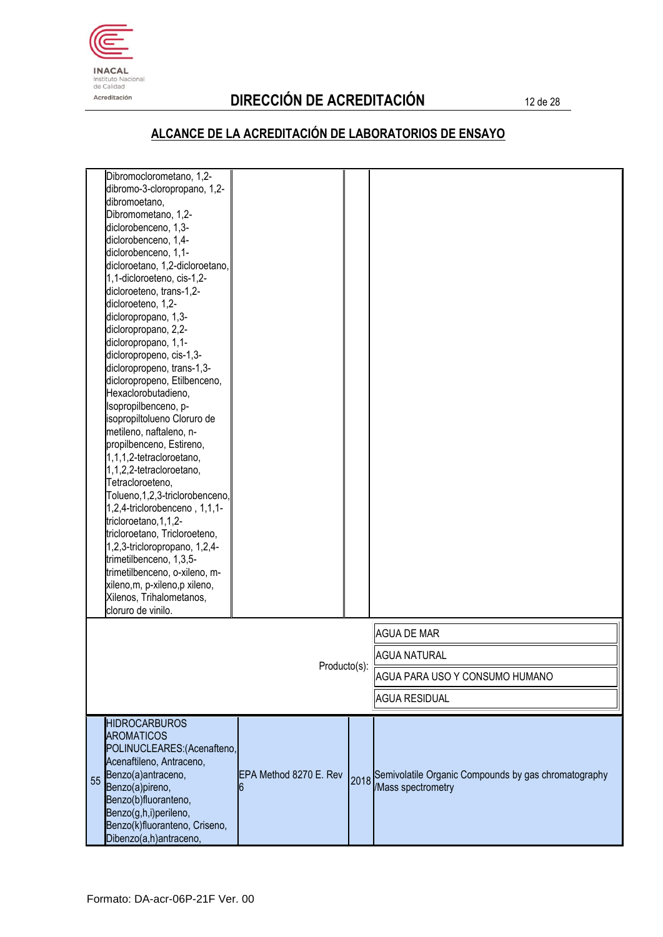

# Acreditación **DIRECCIÓN DE ACREDITACIÓN** 12 de 28

|    | Dibromoclorometano, 1,2-<br>dibromo-3-cloropropano, 1,2-<br>dibromoetano, |                        |      |                                                      |
|----|---------------------------------------------------------------------------|------------------------|------|------------------------------------------------------|
|    | Dibromometano, 1,2-                                                       |                        |      |                                                      |
|    | diclorobenceno, 1,3-                                                      |                        |      |                                                      |
|    | diclorobenceno, 1,4-                                                      |                        |      |                                                      |
|    | diclorobenceno, 1,1-                                                      |                        |      |                                                      |
|    | dicloroetano, 1,2-dicloroetano,                                           |                        |      |                                                      |
|    | 1,1-dicloroeteno, cis-1,2-                                                |                        |      |                                                      |
|    | dicloroeteno, trans-1,2-                                                  |                        |      |                                                      |
|    | dicloroeteno, 1,2-<br>dicloropropano, 1,3-                                |                        |      |                                                      |
|    | dicloropropano, 2,2-                                                      |                        |      |                                                      |
|    | dicloropropano, 1,1-                                                      |                        |      |                                                      |
|    | dicloropropeno, cis-1,3-                                                  |                        |      |                                                      |
|    | dicloropropeno, trans-1,3-                                                |                        |      |                                                      |
|    | dicloropropeno, Etilbenceno,                                              |                        |      |                                                      |
|    | Hexaclorobutadieno,                                                       |                        |      |                                                      |
|    | Isopropilbenceno, p-                                                      |                        |      |                                                      |
|    | isopropiltolueno Cloruro de                                               |                        |      |                                                      |
|    | metileno, naftaleno, n-                                                   |                        |      |                                                      |
|    | propilbenceno, Estireno,<br>1,1,1,2-tetracloroetano,                      |                        |      |                                                      |
|    | 1,1,2,2-tetracloroetano,                                                  |                        |      |                                                      |
|    | Tetracloroeteno,                                                          |                        |      |                                                      |
|    | Tolueno, 1, 2, 3-triclorobenceno,                                         |                        |      |                                                      |
|    | 1,2,4-triclorobenceno, 1,1,1-                                             |                        |      |                                                      |
|    | tricloroetano, 1, 1, 2-                                                   |                        |      |                                                      |
|    | tricloroetano, Tricloroeteno,                                             |                        |      |                                                      |
|    | 1,2,3-tricloropropano, 1,2,4-                                             |                        |      |                                                      |
|    | trimetilbenceno, 1,3,5-                                                   |                        |      |                                                      |
|    | trimetilbenceno, o-xileno, m-                                             |                        |      |                                                      |
|    | xileno, m, p-xileno, p xileno,                                            |                        |      |                                                      |
|    | Xilenos, Trihalometanos,<br>cloruro de vinilo.                            |                        |      |                                                      |
|    |                                                                           |                        |      | <b>AGUA DE MAR</b>                                   |
|    |                                                                           |                        |      |                                                      |
|    |                                                                           | Producto(s):           |      | <b>AGUA NATURAL</b>                                  |
|    |                                                                           |                        |      | AGUA PARA USO Y CONSUMO HUMANO                       |
|    |                                                                           |                        |      | <b>AGUA RESIDUAL</b>                                 |
|    | <b>HIDROCARBUROS</b>                                                      |                        |      |                                                      |
|    | <b>AROMATICOS</b>                                                         |                        |      |                                                      |
|    | POLINUCLEARES: (Acenafteno,                                               |                        |      |                                                      |
|    | Acenaftileno, Antraceno,                                                  |                        |      |                                                      |
| 55 | Benzo(a)antraceno,                                                        | EPA Method 8270 E. Rev | 2018 | Semivolatile Organic Compounds by gas chromatography |
|    | Benzo(a)pireno,<br>Benzo(b)fluoranteno,                                   | b                      |      | /Mass spectrometry                                   |
|    | Benzo(g,h,i)perileno,                                                     |                        |      |                                                      |
|    | Benzo(k)fluoranteno, Criseno,                                             |                        |      |                                                      |
|    | Dibenzo(a,h)antraceno,                                                    |                        |      |                                                      |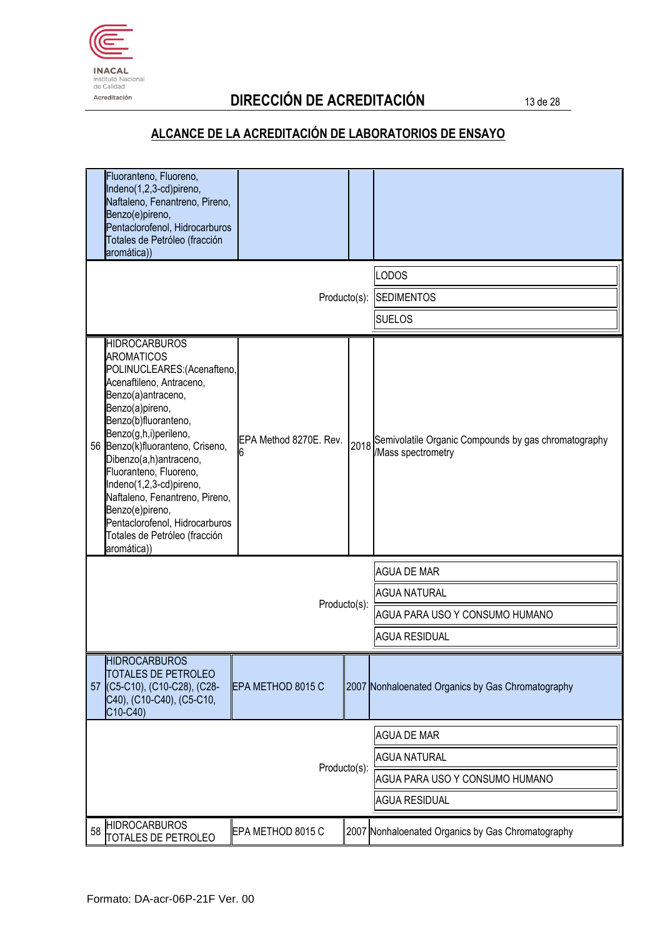

# Acreditación **DIRECCIÓN DE ACREDITACIÓN** 13 de 28

| Fluoranteno, Fluoreno,<br>Indeno(1,2,3-cd)pireno,<br>Naftaleno, Fenantreno, Pireno,<br>Benzo(e)pireno,<br>Pentaclorofenol, Hidrocarburos<br>Totales de Petróleo (fracción<br>aromática))                                                                                                                                                                                                                                                                    |                        |              |                                                                            |
|-------------------------------------------------------------------------------------------------------------------------------------------------------------------------------------------------------------------------------------------------------------------------------------------------------------------------------------------------------------------------------------------------------------------------------------------------------------|------------------------|--------------|----------------------------------------------------------------------------|
|                                                                                                                                                                                                                                                                                                                                                                                                                                                             |                        |              | <b>LODOS</b>                                                               |
|                                                                                                                                                                                                                                                                                                                                                                                                                                                             |                        | Producto(s): | <b>SEDIMENTOS</b>                                                          |
|                                                                                                                                                                                                                                                                                                                                                                                                                                                             |                        |              | <b>SUELOS</b>                                                              |
| <b>HIDROCARBUROS</b><br><b>AROMATICOS</b><br>POLINUCLEARES: (Acenafteno,<br>Acenaftileno, Antraceno,<br>Benzo(a)antraceno,<br>Benzo(a)pireno,<br>Benzo(b)fluoranteno,<br>Benzo(g,h,i)perileno,<br>Benzo(k)fluoranteno, Criseno,<br>56<br>Dibenzo(a,h)antraceno,<br>Fluoranteno, Fluoreno,<br>Indeno(1,2,3-cd)pireno,<br>Naftaleno, Fenantreno, Pireno,<br>Benzo(e)pireno,<br>Pentaclorofenol, Hidrocarburos<br>Totales de Petróleo (fracción<br>aromática)) | EPA Method 8270E. Rev. | 2018         | Semivolatile Organic Compounds by gas chromatography<br>/Mass spectrometry |
|                                                                                                                                                                                                                                                                                                                                                                                                                                                             |                        |              | <b>AGUA DE MAR</b>                                                         |
| Producto(s):                                                                                                                                                                                                                                                                                                                                                                                                                                                |                        |              | <b>AGUA NATURAL</b>                                                        |
|                                                                                                                                                                                                                                                                                                                                                                                                                                                             |                        |              | AGUA PARA USO Y CONSUMO HUMANO                                             |
|                                                                                                                                                                                                                                                                                                                                                                                                                                                             |                        |              | <b>AGUA RESIDUAL</b>                                                       |
| <b>HIDROCARBUROS</b><br>TOTALES DE PETROLEO<br>57 (C5-C10), (C10-C28), (C28-<br>C40), (C10-C40), (C5-C10,<br>C10-C40)                                                                                                                                                                                                                                                                                                                                       | EPA METHOD 8015 C      |              | 2007 Nonhaloenated Organics by Gas Chromatography                          |
|                                                                                                                                                                                                                                                                                                                                                                                                                                                             |                        |              | <b>AGUA DE MAR</b>                                                         |
| Producto(s):                                                                                                                                                                                                                                                                                                                                                                                                                                                |                        |              | <b>AGUA NATURAL</b>                                                        |
|                                                                                                                                                                                                                                                                                                                                                                                                                                                             |                        |              | AGUA PARA USO Y CONSUMO HUMANO                                             |
|                                                                                                                                                                                                                                                                                                                                                                                                                                                             |                        |              | <b>AGUA RESIDUAL</b>                                                       |
| <b>HIDROCARBUROS</b><br>58<br>TOTALES DE PETROLEO                                                                                                                                                                                                                                                                                                                                                                                                           | EPA METHOD 8015 C      |              | 2007 Nonhaloenated Organics by Gas Chromatography                          |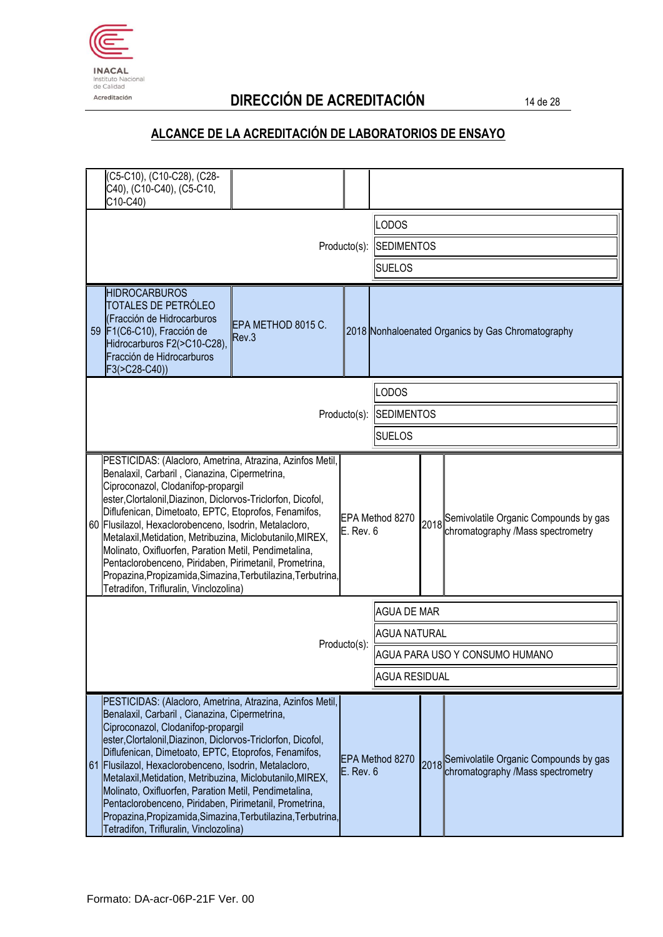

# Acreditación **DIRECCIÓN DE ACREDITACIÓN** 14 de 28

| C5-C10), (C10-C28), (C28-<br>C40), (C10-C40), (C5-C10,<br>C10-C40)                                                                                                                                                                                                                                                                                                                                                                                                                                                                                                                                                           |               |                                |                      |                                                                                 |
|------------------------------------------------------------------------------------------------------------------------------------------------------------------------------------------------------------------------------------------------------------------------------------------------------------------------------------------------------------------------------------------------------------------------------------------------------------------------------------------------------------------------------------------------------------------------------------------------------------------------------|---------------|--------------------------------|----------------------|---------------------------------------------------------------------------------|
|                                                                                                                                                                                                                                                                                                                                                                                                                                                                                                                                                                                                                              |               | <b>LODOS</b>                   |                      |                                                                                 |
|                                                                                                                                                                                                                                                                                                                                                                                                                                                                                                                                                                                                                              | Producto(s):  | <b>SEDIMENTOS</b>              |                      |                                                                                 |
|                                                                                                                                                                                                                                                                                                                                                                                                                                                                                                                                                                                                                              |               | <b>SUELOS</b>                  |                      |                                                                                 |
| <b>HIDROCARBUROS</b><br>TOTALES DE PETRÓLEO<br>(Fracción de Hidrocarburos<br>EPA METHOD 8015 C.<br>59 F1(C6-C10), Fracción de<br>Rev.3<br>Hidrocarburos F2(>C10-C28),<br>Fracción de Hidrocarburos<br>$F3( > C28-C40)$                                                                                                                                                                                                                                                                                                                                                                                                       |               |                                |                      | 2018 Nonhaloenated Organics by Gas Chromatography                               |
|                                                                                                                                                                                                                                                                                                                                                                                                                                                                                                                                                                                                                              |               | LODOS                          |                      |                                                                                 |
|                                                                                                                                                                                                                                                                                                                                                                                                                                                                                                                                                                                                                              | Producto(s):  | <b>SEDIMENTOS</b>              |                      |                                                                                 |
|                                                                                                                                                                                                                                                                                                                                                                                                                                                                                                                                                                                                                              |               | <b>SUELOS</b>                  |                      |                                                                                 |
| PESTICIDAS: (Alacloro, Ametrina, Atrazina, Azinfos Metil,<br>Benalaxil, Carbaril, Cianazina, Cipermetrina,<br>Ciproconazol, Clodanifop-propargil<br>ester, Clortalonil, Diazinon, Diclorvos-Triclorfon, Dicofol,<br>Diflufenican, Dimetoato, EPTC, Etoprofos, Fenamifos,<br>60 Flusilazol, Hexaclorobenceno, Isodrin, Metalacloro,<br>Metalaxil, Metidation, Metribuzina, Miclobutanilo, MIREX,<br>Molinato, Oxifluorfen, Paration Metil, Pendimetalina,<br>Pentaclorobenceno, Piridaben, Pirimetanil, Prometrina,<br>Propazina, Propizamida, Simazina, Terbutilazina, Terbutrina,<br>Tetradifon, Trifluralin, Vinclozolina) | $E.$ Rev. $6$ | EPA Method 8270                |                      | 2018 Semivolatile Organic Compounds by gas<br>chromatography /Mass spectrometry |
|                                                                                                                                                                                                                                                                                                                                                                                                                                                                                                                                                                                                                              |               | <b>AGUA DE MAR</b>             |                      |                                                                                 |
|                                                                                                                                                                                                                                                                                                                                                                                                                                                                                                                                                                                                                              |               | <b>AGUA NATURAL</b>            |                      |                                                                                 |
|                                                                                                                                                                                                                                                                                                                                                                                                                                                                                                                                                                                                                              | Producto(s):  | AGUA PARA USO Y CONSUMO HUMANO |                      |                                                                                 |
|                                                                                                                                                                                                                                                                                                                                                                                                                                                                                                                                                                                                                              |               |                                | <b>AGUA RESIDUAL</b> |                                                                                 |
| PESTICIDAS: (Alacloro, Ametrina, Atrazina, Azinfos Metil,<br>Benalaxil, Carbaril, Cianazina, Cipermetrina,<br>Ciproconazol, Clodanifop-propargil<br>ester, Clortalonil, Diazinon, Diclorvos-Triclorfon, Dicofol,<br>Diflufenican, Dimetoato, EPTC, Etoprofos, Fenamifos,<br>61 Flusilazol, Hexaclorobenceno, Isodrin, Metalacloro,<br>Metalaxil, Metidation, Metribuzina, Miclobutanilo, MIREX,<br>Molinato, Oxifluorfen, Paration Metil, Pendimetalina,<br>Pentaclorobenceno, Piridaben, Pirimetanil, Prometrina,<br>Propazina, Propizamida, Simazina, Terbutilazina, Terbutrina,<br>Tetradifon, Trifluralin, Vinclozolina) | E. Rev. 6     | EPA Method 8270                |                      | 2018 Semivolatile Organic Compounds by gas<br>chromatography /Mass spectrometry |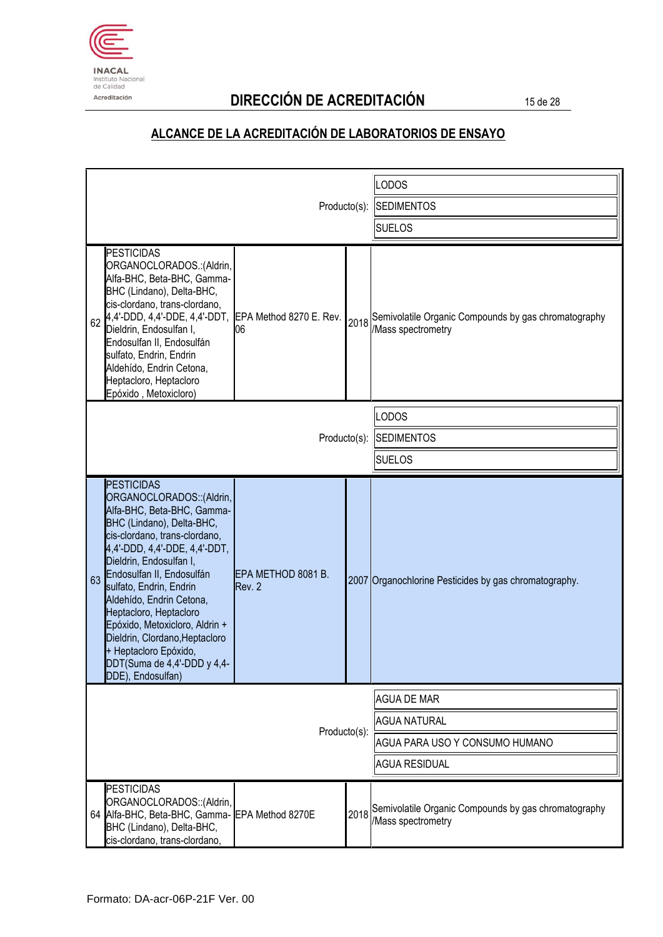

# Acreditación **DIRECCIÓN DE ACREDITACIÓN** 15 de 28

|                                                                                                                                                                                                                                                                                                                                                                                                                                                                             |                              | LODOS                              |                                                                                       |
|-----------------------------------------------------------------------------------------------------------------------------------------------------------------------------------------------------------------------------------------------------------------------------------------------------------------------------------------------------------------------------------------------------------------------------------------------------------------------------|------------------------------|------------------------------------|---------------------------------------------------------------------------------------|
|                                                                                                                                                                                                                                                                                                                                                                                                                                                                             | Producto(s):                 | <b>SEDIMENTOS</b><br><b>SUELOS</b> |                                                                                       |
|                                                                                                                                                                                                                                                                                                                                                                                                                                                                             |                              |                                    |                                                                                       |
| <b>PESTICIDAS</b><br>ORGANOCLORADOS.: (Aldrin,<br>Alfa-BHC, Beta-BHC, Gamma-<br>BHC (Lindano), Delta-BHC,<br>cis-clordano, trans-clordano,<br>62 4,4'-DDD, 4,4'-DDE, 4,4'-DDT, EPA Method 8270 E. Rev.<br>Dieldrin, Endosulfan I,<br>Endosulfan II, Endosulfán<br>sulfato, Endrin, Endrin<br>Aldehído, Endrin Cetona,<br>Heptacloro, Heptacloro<br>Epóxido, Metoxicloro)                                                                                                    | 06                           |                                    | 2018 Semivolatile Organic Compounds by gas chromatography<br><b>Mass spectrometry</b> |
|                                                                                                                                                                                                                                                                                                                                                                                                                                                                             |                              |                                    | LODOS                                                                                 |
|                                                                                                                                                                                                                                                                                                                                                                                                                                                                             | Producto(s):                 |                                    | <b>SEDIMENTOS</b>                                                                     |
|                                                                                                                                                                                                                                                                                                                                                                                                                                                                             |                              |                                    | <b>SUELOS</b>                                                                         |
| <b>PESTICIDAS</b><br>ORGANOCLORADOS:: (Aldrin,<br>Alfa-BHC, Beta-BHC, Gamma-<br>BHC (Lindano), Delta-BHC,<br>cis-clordano, trans-clordano,<br>4,4'-DDD, 4,4'-DDE, 4,4'-DDT,<br>Dieldrin, Endosulfan I,<br>Endosulfan II, Endosulfán<br>63<br>sulfato, Endrin, Endrin<br>Aldehído, Endrin Cetona,<br>Heptacloro, Heptacloro<br>Epóxido, Metoxicloro, Aldrin +<br>Dieldrin, Clordano, Heptacloro<br>+ Heptacloro Epóxido,<br>DDT(Suma de 4,4'-DDD y 4,4-<br>DDE), Endosulfan) | EPA METHOD 8081 B.<br>Rev. 2 |                                    | 2007 Organochlorine Pesticides by gas chromatography.                                 |
|                                                                                                                                                                                                                                                                                                                                                                                                                                                                             |                              |                                    | <b>AGUA DE MAR</b>                                                                    |
| Producto(s):                                                                                                                                                                                                                                                                                                                                                                                                                                                                |                              |                                    | <b>AGUA NATURAL</b>                                                                   |
|                                                                                                                                                                                                                                                                                                                                                                                                                                                                             |                              |                                    | AGUA PARA USO Y CONSUMO HUMANO                                                        |
|                                                                                                                                                                                                                                                                                                                                                                                                                                                                             |                              |                                    | <b>AGUA RESIDUAL</b>                                                                  |
| <b>PESTICIDAS</b><br>ORGANOCLORADOS:: (Aldrin,<br>64 Alfa-BHC, Beta-BHC, Gamma- EPA Method 8270E<br>BHC (Lindano), Delta-BHC,<br>cis-clordano, trans-clordano,                                                                                                                                                                                                                                                                                                              |                              |                                    | 2018 Semivolatile Organic Compounds by gas chromatography<br>/Mass spectrometry       |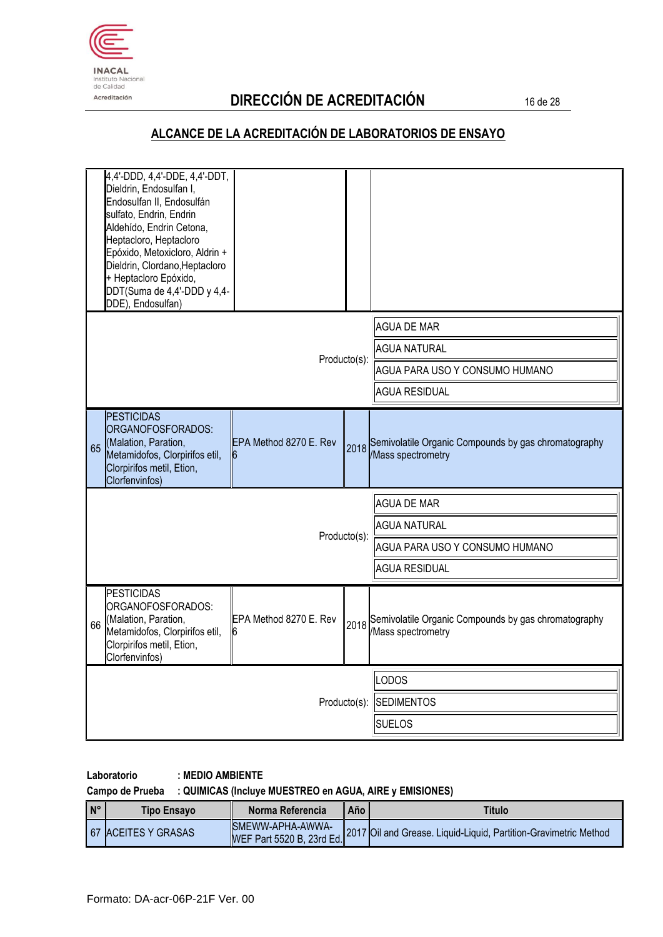

# Acreditación **DIRECCIÓN DE ACREDITACIÓN** 16 de 28

#### **ALCANCE DE LA ACREDITACIÓN DE LABORATORIOS DE ENSAYO**

| <b>AGUA DE MAR</b><br><b>AGUA NATURAL</b><br>Producto(s):<br>AGUA PARA USO Y CONSUMO HUMANO<br><b>AGUA RESIDUAL</b><br><b>PESTICIDAS</b><br>ORGANOFOSFORADOS:<br>(Malation, Paration,<br>EPA Method 8270 E. Rev<br>2018 Semivolatile Organic Compounds by gas chromatography<br>65<br>/Mass spectrometry<br>Metamidofos, Clorpirifos etil,<br>6<br>Clorpirifos metil, Etion,<br>Clorfenvinfos)<br><b>AGUA DE MAR</b><br><b>AGUA NATURAL</b><br>Producto(s):<br>AGUA PARA USO Y CONSUMO HUMANO<br><b>AGUA RESIDUAL</b><br><b>PESTICIDAS</b><br>ORGANOFOSFORADOS:<br>(Malation, Paration,<br>EPA Method 8270 E. Rev<br>2018 Semivolatile Organic Compounds by gas chromatography<br>66<br>Metamidofos, Clorpirifos etil,<br>/Mass spectrometry<br>16<br>Clorpirifos metil, Etion,<br>Clorfenvinfos)<br>ODOS<br><b>SEDIMENTOS</b><br>Producto(s):<br><b>SUELOS</b> | 4,4'-DDD, 4,4'-DDE, 4,4'-DDT,<br>Dieldrin, Endosulfan I,<br>Endosulfan II, Endosulfán<br>sulfato, Endrin, Endrin<br>Aldehído, Endrin Cetona,<br>Heptacloro, Heptacloro<br>Epóxido, Metoxicloro, Aldrin +<br>Dieldrin, Clordano, Heptacloro<br>+ Heptacloro Epóxido,<br>DDT(Suma de 4,4'-DDD y 4,4-<br>DDE), Endosulfan) |  |  |  |
|-----------------------------------------------------------------------------------------------------------------------------------------------------------------------------------------------------------------------------------------------------------------------------------------------------------------------------------------------------------------------------------------------------------------------------------------------------------------------------------------------------------------------------------------------------------------------------------------------------------------------------------------------------------------------------------------------------------------------------------------------------------------------------------------------------------------------------------------------------------------|-------------------------------------------------------------------------------------------------------------------------------------------------------------------------------------------------------------------------------------------------------------------------------------------------------------------------|--|--|--|
|                                                                                                                                                                                                                                                                                                                                                                                                                                                                                                                                                                                                                                                                                                                                                                                                                                                                 |                                                                                                                                                                                                                                                                                                                         |  |  |  |
|                                                                                                                                                                                                                                                                                                                                                                                                                                                                                                                                                                                                                                                                                                                                                                                                                                                                 |                                                                                                                                                                                                                                                                                                                         |  |  |  |
|                                                                                                                                                                                                                                                                                                                                                                                                                                                                                                                                                                                                                                                                                                                                                                                                                                                                 |                                                                                                                                                                                                                                                                                                                         |  |  |  |
|                                                                                                                                                                                                                                                                                                                                                                                                                                                                                                                                                                                                                                                                                                                                                                                                                                                                 |                                                                                                                                                                                                                                                                                                                         |  |  |  |
|                                                                                                                                                                                                                                                                                                                                                                                                                                                                                                                                                                                                                                                                                                                                                                                                                                                                 |                                                                                                                                                                                                                                                                                                                         |  |  |  |
|                                                                                                                                                                                                                                                                                                                                                                                                                                                                                                                                                                                                                                                                                                                                                                                                                                                                 |                                                                                                                                                                                                                                                                                                                         |  |  |  |
|                                                                                                                                                                                                                                                                                                                                                                                                                                                                                                                                                                                                                                                                                                                                                                                                                                                                 |                                                                                                                                                                                                                                                                                                                         |  |  |  |
|                                                                                                                                                                                                                                                                                                                                                                                                                                                                                                                                                                                                                                                                                                                                                                                                                                                                 |                                                                                                                                                                                                                                                                                                                         |  |  |  |
|                                                                                                                                                                                                                                                                                                                                                                                                                                                                                                                                                                                                                                                                                                                                                                                                                                                                 |                                                                                                                                                                                                                                                                                                                         |  |  |  |
|                                                                                                                                                                                                                                                                                                                                                                                                                                                                                                                                                                                                                                                                                                                                                                                                                                                                 |                                                                                                                                                                                                                                                                                                                         |  |  |  |
|                                                                                                                                                                                                                                                                                                                                                                                                                                                                                                                                                                                                                                                                                                                                                                                                                                                                 |                                                                                                                                                                                                                                                                                                                         |  |  |  |
|                                                                                                                                                                                                                                                                                                                                                                                                                                                                                                                                                                                                                                                                                                                                                                                                                                                                 |                                                                                                                                                                                                                                                                                                                         |  |  |  |
|                                                                                                                                                                                                                                                                                                                                                                                                                                                                                                                                                                                                                                                                                                                                                                                                                                                                 |                                                                                                                                                                                                                                                                                                                         |  |  |  |

#### **Laboratorio : MEDIO AMBIENTE**

#### **Campo de Prueba : QUIMICAS (Incluye MUESTREO en AGUA, AIRE y EMISIONES)**

| I <sub>N°</sub> | <b>Tipo Ensavo</b>         | Norma Referencia | Año | Titulo                                                                                     |
|-----------------|----------------------------|------------------|-----|--------------------------------------------------------------------------------------------|
|                 | <b>67 ACEITES Y GRASAS</b> |                  |     | WEF Part 5520 B, 23rd Ed. 2017 Oil and Grease. Liquid-Liquid, Partition-Gravimetric Method |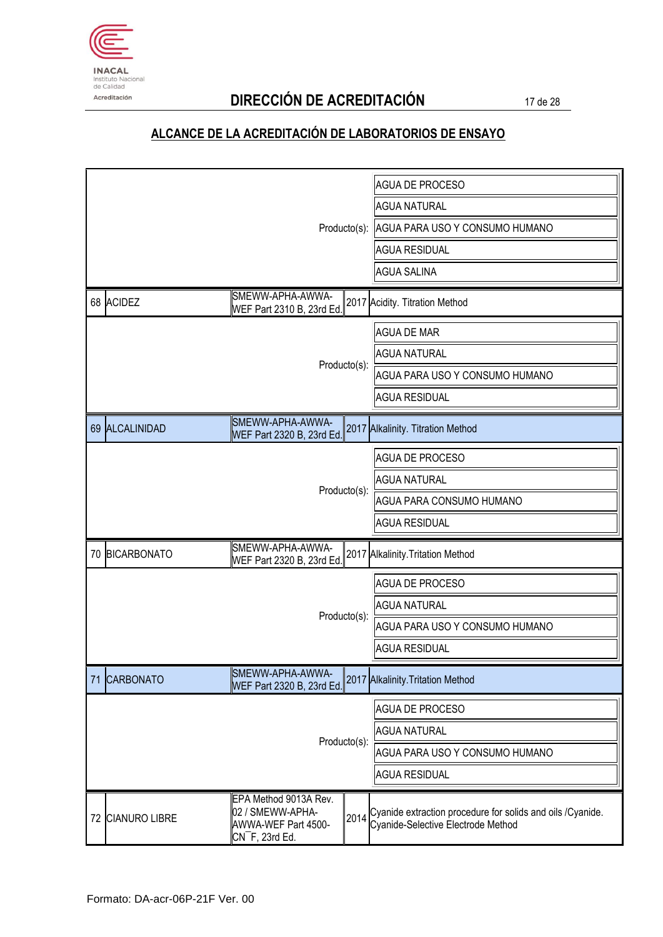

# Acreditación **DIRECCIÓN DE ACREDITACIÓN** 17 de 28

|              |                  |                                                                                                        | <b>AGUA DE PROCESO</b>                      |                                                                                                   |
|--------------|------------------|--------------------------------------------------------------------------------------------------------|---------------------------------------------|---------------------------------------------------------------------------------------------------|
|              |                  |                                                                                                        |                                             | <b>AGUA NATURAL</b>                                                                               |
|              |                  |                                                                                                        | Producto(s): AGUA PARA USO Y CONSUMO HUMANO |                                                                                                   |
|              |                  |                                                                                                        | <b>AGUA RESIDUAL</b>                        |                                                                                                   |
|              |                  |                                                                                                        |                                             | <b>AGUA SALINA</b>                                                                                |
|              | 68 ACIDEZ        | SMEWW-APHA-AWWA-<br>WEF Part 2310 B, 23rd Ed.                                                          |                                             | 2017 Acidity. Titration Method                                                                    |
|              |                  |                                                                                                        |                                             | <b>AGUA DE MAR</b>                                                                                |
|              |                  |                                                                                                        |                                             | <b>AGUA NATURAL</b>                                                                               |
|              |                  |                                                                                                        | Producto(s):                                | AGUA PARA USO Y CONSUMO HUMANO                                                                    |
|              |                  |                                                                                                        |                                             | <b>AGUA RESIDUAL</b>                                                                              |
|              | 69 ALCALINIDAD   | SMEWW-APHA-AWWA-<br>WEF Part 2320 B, 23rd Ed.                                                          |                                             | 2017 Alkalinity. Titration Method                                                                 |
|              |                  |                                                                                                        |                                             | <b>AGUA DE PROCESO</b>                                                                            |
| Producto(s): |                  |                                                                                                        | <b>AGUA NATURAL</b>                         |                                                                                                   |
|              |                  |                                                                                                        | AGUA PARA CONSUMO HUMANO                    |                                                                                                   |
|              |                  |                                                                                                        |                                             | <b>AGUA RESIDUAL</b>                                                                              |
|              | 70 BICARBONATO   | SMEWW-APHA-AWWA-<br>WEF Part 2320 B, 23rd Ed.                                                          |                                             | 2017 Alkalinity. Tritation Method                                                                 |
|              |                  |                                                                                                        |                                             | <b>AGUA DE PROCESO</b>                                                                            |
|              |                  |                                                                                                        | Producto(s):                                | <b>AGUA NATURAL</b>                                                                               |
|              |                  |                                                                                                        |                                             | AGUA PARA USO Y CONSUMO HUMANO                                                                    |
|              |                  |                                                                                                        |                                             | <b>AGUA RESIDUAL</b>                                                                              |
| 71           | <b>CARBONATO</b> | SMEWW-APHA-AWWA-<br>WEF Part 2320 B, 23rd Ed.                                                          |                                             | 2017 Alkalinity. Tritation Method                                                                 |
|              |                  |                                                                                                        |                                             | <b>AGUA DE PROCESO</b>                                                                            |
|              |                  |                                                                                                        |                                             | <b>AGUA NATURAL</b>                                                                               |
|              |                  |                                                                                                        | Producto(s):                                | AGUA PARA USO Y CONSUMO HUMANO                                                                    |
|              |                  |                                                                                                        |                                             | <b>AGUA RESIDUAL</b>                                                                              |
|              | 72 CIANURO LIBRE | EPA Method 9013A Rev.<br>02 / SMEWW-APHA-<br>AWWA-WEF Part 4500-<br>$\overline{\text{CN}}$ F, 23rd Ed. | 2014                                        | Cyanide extraction procedure for solids and oils / Cyanide.<br>Cyanide-Selective Electrode Method |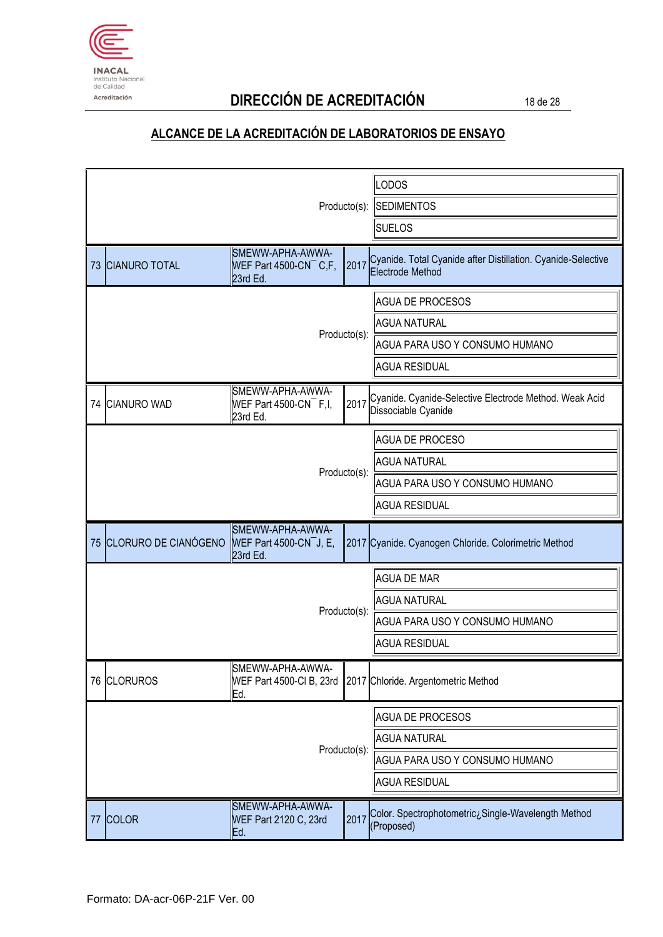

# Acreditación **DIRECCIÓN DE ACREDITACIÓN** 18 de 28

| Producto(s):            |                                                                      |              | <b>LODOS</b><br><b>SEDIMENTOS</b><br><b>SUELOS</b>                                                       |
|-------------------------|----------------------------------------------------------------------|--------------|----------------------------------------------------------------------------------------------------------|
| 73 CIANURO TOTAL        | SMEWW-APHA-AWWA-<br>WEF Part 4500-CN $\overline{C}$ , F,<br>23rd Ed. | 2017         | Cyanide. Total Cyanide after Distillation. Cyanide-Selective<br>Electrode Method                         |
|                         |                                                                      | Producto(s): | <b>AGUA DE PROCESOS</b><br><b>AGUA NATURAL</b><br>AGUA PARA USO Y CONSUMO HUMANO<br><b>AGUA RESIDUAL</b> |
| 74 CIANURO WAD          | SMEWW-APHA-AWWA-<br>WEF Part 4500-CN $^-$ F,I,<br>23rd Ed.           | 2017         | Cyanide. Cyanide-Selective Electrode Method. Weak Acid<br>Dissociable Cyanide                            |
|                         |                                                                      | Producto(s): | <b>AGUA DE PROCESO</b><br><b>AGUA NATURAL</b><br>AGUA PARA USO Y CONSUMO HUMANO<br><b>AGUA RESIDUAL</b>  |
| 75 CLORURO DE CIANÓGENO | SMEWW-APHA-AWWA-<br>WEF Part 4500-CN $^-$ J, E,<br>23rd Ed.          |              | 2017 Cyanide. Cyanogen Chloride. Colorimetric Method                                                     |
|                         |                                                                      | Producto(s): | <b>AGUA DE MAR</b><br><b>AGUA NATURAL</b><br>AGUA PARA USO Y CONSUMO HUMANO<br><b>AGUA RESIDUAL</b>      |
| 76 CLORUROS             | SMEWW-APHA-AWWA-<br>Ed.                                              |              | WEF Part 4500-CI B, 23rd   2017 Chloride. Argentometric Method                                           |
| Producto(s):            |                                                                      |              | <b>AGUA DE PROCESOS</b><br><b>AGUA NATURAL</b><br>AGUA PARA USO Y CONSUMO HUMANO<br><b>AGUA RESIDUAL</b> |
| 77 COLOR                | SMEWW-APHA-AWWA-<br>WEF Part 2120 C, 23rd<br>Ed.                     | 2017         | Color. Spectrophotometric¿Single-Wavelength Method<br>(Proposed)                                         |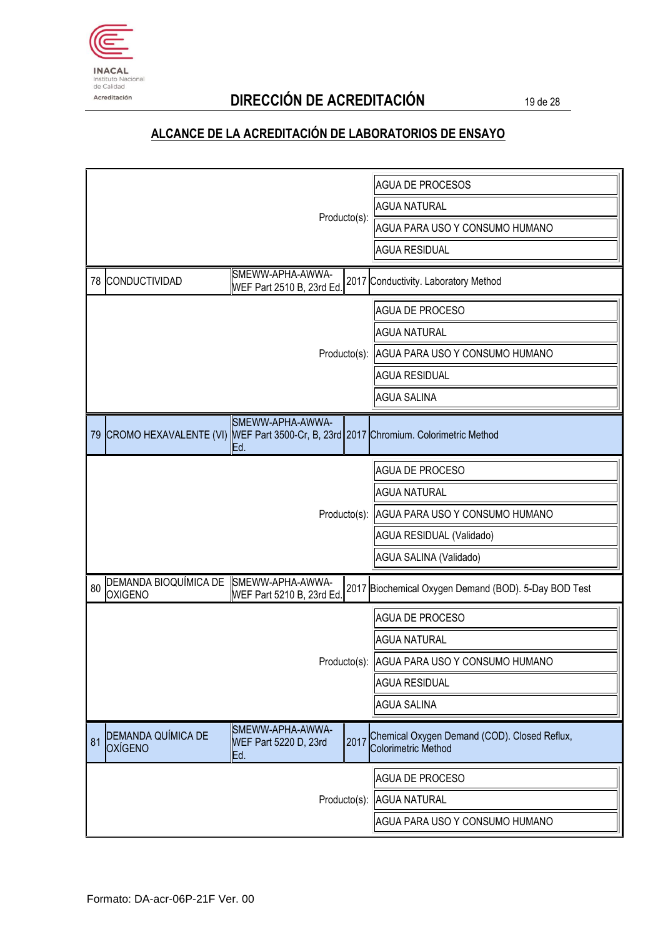

# Acreditación **DIRECCIÓN DE ACREDITACIÓN** 19 de 28

|                                                                                                                   | AGUA DE PROCESOS                                                           |
|-------------------------------------------------------------------------------------------------------------------|----------------------------------------------------------------------------|
|                                                                                                                   | <b>AGUA NATURAL</b>                                                        |
| Producto(s):                                                                                                      | AGUA PARA USO Y CONSUMO HUMANO                                             |
|                                                                                                                   | <b>AGUA RESIDUAL</b>                                                       |
| SMEWW-APHA-AWWA-<br>78 CONDUCTIVIDAD<br>WEF Part 2510 B, 23rd Ed.                                                 | 2017 Conductivity. Laboratory Method                                       |
|                                                                                                                   | <b>AGUA DE PROCESO</b>                                                     |
|                                                                                                                   | <b>AGUA NATURAL</b>                                                        |
|                                                                                                                   | Producto(s): AGUA PARA USO Y CONSUMO HUMANO                                |
|                                                                                                                   | <b>AGUA RESIDUAL</b>                                                       |
|                                                                                                                   | <b>AGUA SALINA</b>                                                         |
| SMEWW-APHA-AWWA-<br>79 CROMO HEXAVALENTE (VI) WEF Part 3500-Cr, B, 23rd 2017 Chromium. Colorimetric Method<br>Ed. |                                                                            |
|                                                                                                                   | <b>AGUA DE PROCESO</b>                                                     |
|                                                                                                                   | <b>AGUA NATURAL</b>                                                        |
|                                                                                                                   | Producto(s): AGUA PARA USO Y CONSUMO HUMANO                                |
|                                                                                                                   | AGUA RESIDUAL (Validado)                                                   |
|                                                                                                                   | AGUA SALINA (Validado)                                                     |
| DEMANDA BIOQUÍMICA DE<br>SMEWW-APHA-AWWA-<br>80<br><b>OXIGENO</b><br>WEF Part 5210 B, 23rd Ed.                    | 2017 Biochemical Oxygen Demand (BOD). 5-Day BOD Test                       |
|                                                                                                                   | <b>AGUA DE PROCESO</b>                                                     |
|                                                                                                                   | <b>AGUA NATURAL</b>                                                        |
|                                                                                                                   | Producto(s): AGUA PARA USO Y CONSUMO HUMANO                                |
|                                                                                                                   | <b>AGUA RESIDUAL</b>                                                       |
|                                                                                                                   | <b>AGUA SALINA</b>                                                         |
| SMEWW-APHA-AWWA-<br>DEMANDA QUÍMICA DE<br>2017<br>81<br>WEF Part 5220 D, 23rd<br><b>OXÍGENO</b><br>Ed.            | Chemical Oxygen Demand (COD). Closed Reflux,<br><b>Colorimetric Method</b> |
|                                                                                                                   | <b>AGUA DE PROCESO</b>                                                     |
|                                                                                                                   | Producto(s): AGUA NATURAL                                                  |
|                                                                                                                   | AGUA PARA USO Y CONSUMO HUMANO                                             |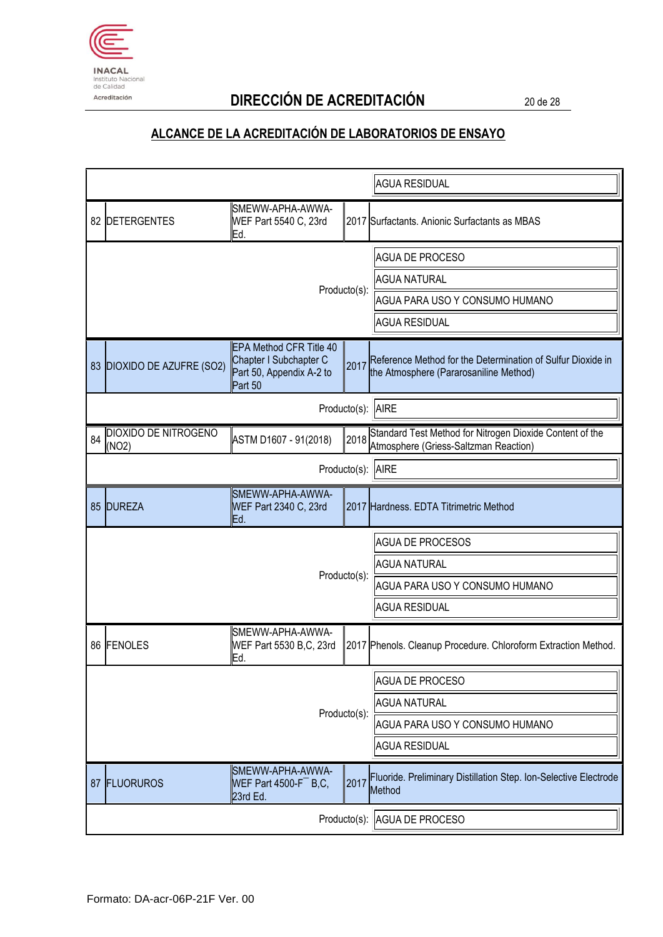

# Acreditación **DIRECCIÓN DE ACREDITACIÓN** 20 de 28

|    |                               |                                                                                                 |                     | <b>AGUA RESIDUAL</b>                                                                                  |
|----|-------------------------------|-------------------------------------------------------------------------------------------------|---------------------|-------------------------------------------------------------------------------------------------------|
|    | 82 DETERGENTES                | SMEWW-APHA-AWWA-<br>WEF Part 5540 C, 23rd<br>Ed.                                                |                     | 2017 Surfactants. Anionic Surfactants as MBAS                                                         |
|    |                               |                                                                                                 |                     | <b>AGUA DE PROCESO</b>                                                                                |
|    |                               |                                                                                                 |                     | <b>AGUA NATURAL</b>                                                                                   |
|    | Producto(s):                  |                                                                                                 |                     | AGUA PARA USO Y CONSUMO HUMANO                                                                        |
|    |                               |                                                                                                 |                     | <b>AGUA RESIDUAL</b>                                                                                  |
|    | 83 DIOXIDO DE AZUFRE (SO2)    | <b>EPA Method CFR Title 40</b><br>Chapter I Subchapter C<br>Part 50, Appendix A-2 to<br>Part 50 | 2017                | Reference Method for the Determination of Sulfur Dioxide in<br>the Atmosphere (Pararosaniline Method) |
|    |                               |                                                                                                 | Producto(s): AIRE   |                                                                                                       |
| 84 | DIOXIDO DE NITROGENO<br>(NO2) | ASTM D1607 - 91(2018)                                                                           | 2018                | Standard Test Method for Nitrogen Dioxide Content of the<br>Atmosphere (Griess-Saltzman Reaction)     |
|    |                               |                                                                                                 | Producto(s):        | <b>AIRE</b>                                                                                           |
|    | 85 DUREZA                     | SMEWW-APHA-AWWA-<br>WEF Part 2340 C, 23rd<br>Ed.                                                |                     | 2017 Hardness. EDTA Titrimetric Method                                                                |
|    |                               |                                                                                                 |                     | <b>AGUA DE PROCESOS</b>                                                                               |
|    |                               |                                                                                                 | Producto(s):        | <b>AGUA NATURAL</b>                                                                                   |
|    |                               |                                                                                                 |                     | AGUA PARA USO Y CONSUMO HUMANO                                                                        |
|    |                               |                                                                                                 |                     | <b>AGUA RESIDUAL</b>                                                                                  |
|    | 86 FENOLES                    | SMEWW-APHA-AWWA-<br>WEF Part 5530 B,C, 23rd<br>Ed.                                              |                     | 2017 Phenols. Cleanup Procedure. Chloroform Extraction Method.                                        |
|    |                               |                                                                                                 |                     | <b>AGUA DE PROCESO</b>                                                                                |
|    |                               |                                                                                                 | <b>AGUA NATURAL</b> |                                                                                                       |
|    | Producto(s):                  |                                                                                                 |                     | AGUA PARA USO Y CONSUMO HUMANO                                                                        |
|    |                               |                                                                                                 |                     | <b>AGUA RESIDUAL</b>                                                                                  |
| 87 | <b>FLUORUROS</b>              | SMEWW-APHA-AWWA-<br>WEF Part 4500-F $B, C$ ,<br>23rd Ed.                                        | 2017                | Fluoride. Preliminary Distillation Step. Ion-Selective Electrode<br>Method                            |
|    |                               | Producto(s):                                                                                    | AGUA DE PROCESO     |                                                                                                       |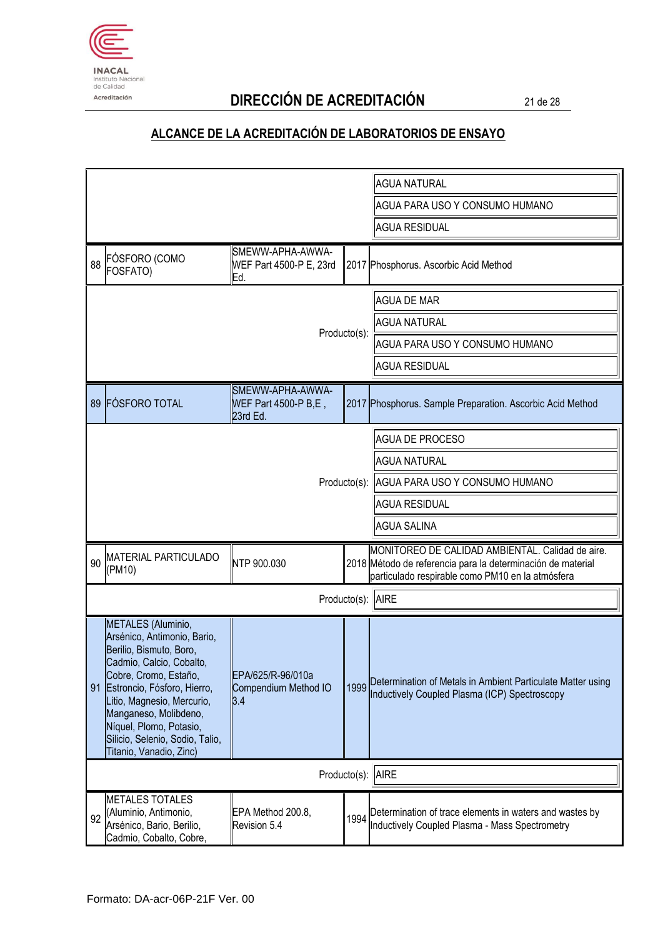

# Acreditación **DIRECCIÓN DE ACREDITACIÓN** 21 de 28

|                             |                                                                                                                                                                                                                                                                                                                     |                                                      |                      | <b>AGUA NATURAL</b>                                                                                                                                                 |  |
|-----------------------------|---------------------------------------------------------------------------------------------------------------------------------------------------------------------------------------------------------------------------------------------------------------------------------------------------------------------|------------------------------------------------------|----------------------|---------------------------------------------------------------------------------------------------------------------------------------------------------------------|--|
|                             |                                                                                                                                                                                                                                                                                                                     |                                                      |                      | AGUA PARA USO Y CONSUMO HUMANO                                                                                                                                      |  |
|                             |                                                                                                                                                                                                                                                                                                                     |                                                      | <b>AGUA RESIDUAL</b> |                                                                                                                                                                     |  |
| 88                          | FÓSFORO (COMO<br>FOSFATO)                                                                                                                                                                                                                                                                                           | SMEWW-APHA-AWWA-<br>WEF Part 4500-P E, 23rd<br>Ed.   |                      | 2017 Phosphorus. Ascorbic Acid Method                                                                                                                               |  |
|                             |                                                                                                                                                                                                                                                                                                                     |                                                      |                      | <b>AGUA DE MAR</b>                                                                                                                                                  |  |
|                             |                                                                                                                                                                                                                                                                                                                     |                                                      |                      | <b>AGUA NATURAL</b>                                                                                                                                                 |  |
|                             |                                                                                                                                                                                                                                                                                                                     |                                                      | Producto(s):         | AGUA PARA USO Y CONSUMO HUMANO                                                                                                                                      |  |
|                             |                                                                                                                                                                                                                                                                                                                     |                                                      |                      | <b>AGUA RESIDUAL</b>                                                                                                                                                |  |
| 89                          | <b>FÓSFORO TOTAL</b>                                                                                                                                                                                                                                                                                                | SMEWW-APHA-AWWA-<br>WEF Part 4500-P B,E,<br>23rd Ed. |                      | 2017 Phosphorus. Sample Preparation. Ascorbic Acid Method                                                                                                           |  |
|                             |                                                                                                                                                                                                                                                                                                                     |                                                      |                      | <b>AGUA DE PROCESO</b>                                                                                                                                              |  |
|                             |                                                                                                                                                                                                                                                                                                                     |                                                      |                      | <b>AGUA NATURAL</b>                                                                                                                                                 |  |
|                             |                                                                                                                                                                                                                                                                                                                     |                                                      | Producto(s):         | AGUA PARA USO Y CONSUMO HUMANO                                                                                                                                      |  |
|                             |                                                                                                                                                                                                                                                                                                                     |                                                      |                      | <b>AGUA RESIDUAL</b>                                                                                                                                                |  |
|                             |                                                                                                                                                                                                                                                                                                                     |                                                      |                      | <b>AGUA SALINA</b>                                                                                                                                                  |  |
| 90                          | <b>MATERIAL PARTICULADO</b><br>(PM10)                                                                                                                                                                                                                                                                               | NTP 900.030                                          |                      | MONITOREO DE CALIDAD AMBIENTAL. Calidad de aire.<br>2018 Método de referencia para la determinación de material<br>particulado respirable como PM10 en la atmósfera |  |
| Producto(s):                |                                                                                                                                                                                                                                                                                                                     |                                                      |                      | <b>AIRE</b>                                                                                                                                                         |  |
|                             | METALES (Aluminio,<br>Arsénico, Antimonio, Bario,<br>Berilio, Bismuto, Boro,<br>Cadmio, Calcio, Cobalto,<br>Cobre, Cromo, Estaño,<br>91 Estroncio, Fósforo, Hierro,<br>Litio, Magnesio, Mercurio,<br>Manganeso, Molibdeno,<br>Níquel, Plomo, Potasio,<br>Silicio, Selenio, Sodio, Talio,<br>Titanio, Vanadio, Zinc) | EPA/625/R-96/010a<br>Compendium Method IO<br>3.4     | 1999                 | Determination of Metals in Ambient Particulate Matter using<br>Inductively Coupled Plasma (ICP) Spectroscopy                                                        |  |
| Producto(s):<br><b>AIRE</b> |                                                                                                                                                                                                                                                                                                                     |                                                      |                      |                                                                                                                                                                     |  |
| 92                          | <b>METALES TOTALES</b><br>(Aluminio, Antimonio,<br>Arsénico, Bario, Berilio,<br>Cadmio, Cobalto, Cobre,                                                                                                                                                                                                             | EPA Method 200.8,<br>Revision 5.4                    | 1994                 | Determination of trace elements in waters and wastes by<br>Inductively Coupled Plasma - Mass Spectrometry                                                           |  |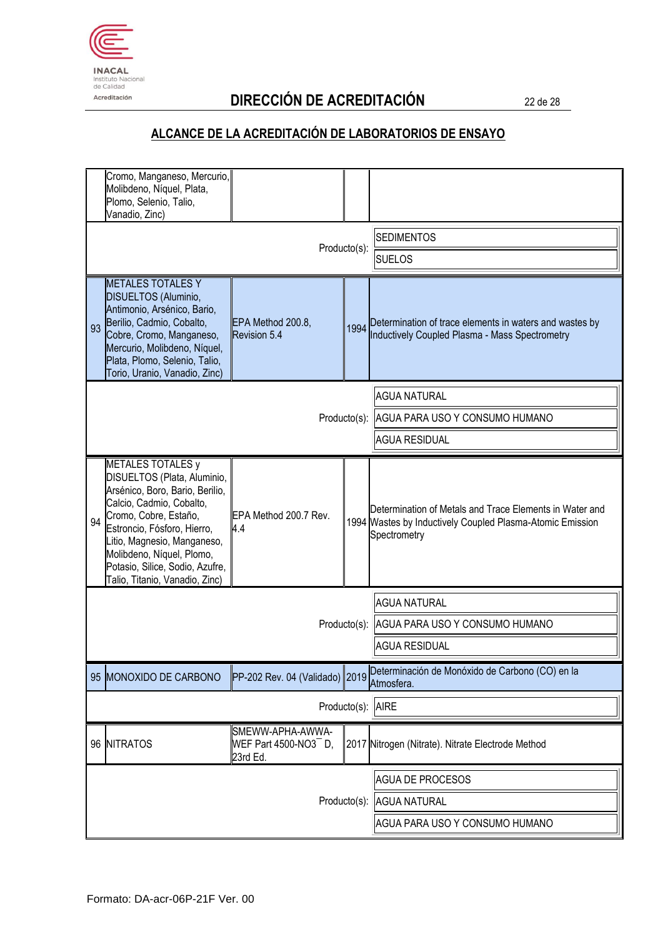

# Acreditación **DIRECCIÓN DE ACREDITACIÓN** 22 de 28

| Cromo, Manganeso, Mercurio,<br>Molibdeno, Níquel, Plata,<br>Plomo, Selenio, Talio,<br>Vanadio, Zinc)                                                                                                                                                                                                           |                                                           |                                             |                                                                                                                                      |
|----------------------------------------------------------------------------------------------------------------------------------------------------------------------------------------------------------------------------------------------------------------------------------------------------------------|-----------------------------------------------------------|---------------------------------------------|--------------------------------------------------------------------------------------------------------------------------------------|
|                                                                                                                                                                                                                                                                                                                | Producto(s):                                              | <b>SEDIMENTOS</b><br><b>SUELOS</b>          |                                                                                                                                      |
| <b>METALES TOTALES Y</b><br>DISUELTOS (Aluminio,<br>Antimonio, Arsénico, Bario,<br>Berilio, Cadmio, Cobalto,<br>93<br>Cobre, Cromo, Manganeso,<br>Mercurio, Molibdeno, Níquel,<br>Plata, Plomo, Selenio, Talio,<br>Torio, Uranio, Vanadio, Zinc)                                                               | EPA Method 200.8,<br>Revision 5.4                         |                                             | 1994 Determination of trace elements in waters and wastes by<br><b>Inductively Coupled Plasma - Mass Spectrometry</b>                |
|                                                                                                                                                                                                                                                                                                                |                                                           |                                             | <b>AGUA NATURAL</b>                                                                                                                  |
|                                                                                                                                                                                                                                                                                                                |                                                           | Producto(s): AGUA PARA USO Y CONSUMO HUMANO |                                                                                                                                      |
|                                                                                                                                                                                                                                                                                                                |                                                           | <b>AGUA RESIDUAL</b>                        |                                                                                                                                      |
| METALES TOTALES y<br>DISUELTOS (Plata, Aluminio,<br>Arsénico, Boro, Bario, Berilio,<br>Calcio, Cadmio, Cobalto,<br>Cromo, Cobre, Estaño,<br>94<br>Estroncio, Fósforo, Hierro,<br>Litio, Magnesio, Manganeso,<br>Molibdeno, Níquel, Plomo,<br>Potasio, Silice, Sodio, Azufre,<br>Talio, Titanio, Vanadio, Zinc) | EPA Method 200.7 Rev.<br>$\mathsf{4.4}$                   |                                             | Determination of Metals and Trace Elements in Water and<br>1994 Wastes by Inductively Coupled Plasma-Atomic Emission<br>Spectrometry |
|                                                                                                                                                                                                                                                                                                                |                                                           |                                             | <b>AGUA NATURAL</b>                                                                                                                  |
|                                                                                                                                                                                                                                                                                                                |                                                           | Producto(s):                                | AGUA PARA USO Y CONSUMO HUMANO                                                                                                       |
|                                                                                                                                                                                                                                                                                                                |                                                           |                                             | <b>AGUA RESIDUAL</b>                                                                                                                 |
| 95 MONOXIDO DE CARBONO                                                                                                                                                                                                                                                                                         | PP-202 Rev. 04 (Validado) 2019                            |                                             | Determinación de Monóxido de Carbono (CO) en la<br>Atmosfera.                                                                        |
|                                                                                                                                                                                                                                                                                                                | Producto(s):                                              | <b>AIRE</b>                                 |                                                                                                                                      |
| 96 NITRATOS                                                                                                                                                                                                                                                                                                    | SMEWW-APHA-AWWA-<br>WEF Part 4500-NO3 $^-$ D,<br>23rd Ed. |                                             | 2017 Nitrogen (Nitrate). Nitrate Electrode Method                                                                                    |
|                                                                                                                                                                                                                                                                                                                |                                                           | <b>AGUA DE PROCESOS</b>                     |                                                                                                                                      |
|                                                                                                                                                                                                                                                                                                                | Producto(s):                                              | <b>AGUA NATURAL</b>                         |                                                                                                                                      |
|                                                                                                                                                                                                                                                                                                                |                                                           | AGUA PARA USO Y CONSUMO HUMANO              |                                                                                                                                      |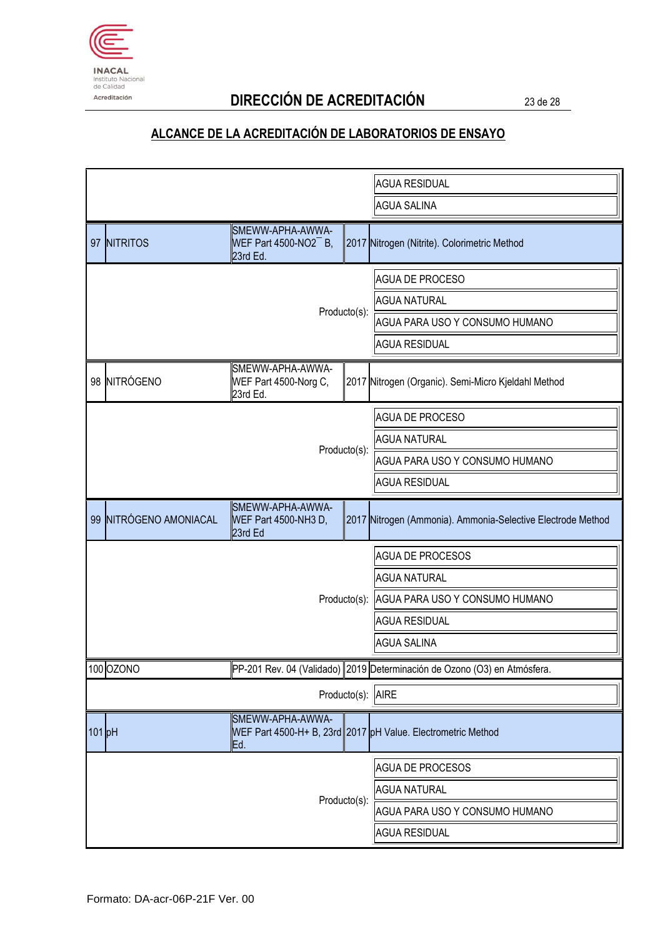

# Acreditación **DIRECCIÓN DE ACREDITACIÓN** 23 de 28

|                     |                        |                                                           |              | <b>AGUA RESIDUAL</b>                                                     |  |
|---------------------|------------------------|-----------------------------------------------------------|--------------|--------------------------------------------------------------------------|--|
|                     |                        |                                                           |              | <b>AGUA SALINA</b>                                                       |  |
|                     | 97 NITRITOS            | SMEWW-APHA-AWWA-<br>WEF Part 4500-NO2 $^-$ B,<br>23rd Ed. |              | 2017 Nitrogen (Nitrite). Colorimetric Method                             |  |
|                     |                        |                                                           |              | <b>AGUA DE PROCESO</b>                                                   |  |
|                     |                        |                                                           |              | <b>AGUA NATURAL</b>                                                      |  |
|                     |                        |                                                           | Producto(s): | AGUA PARA USO Y CONSUMO HUMANO                                           |  |
|                     |                        |                                                           |              | <b>AGUA RESIDUAL</b>                                                     |  |
|                     | 98 NITRÓGENO           | SMEWW-APHA-AWWA-<br>WEF Part 4500-Norg C,<br>23rd Ed.     |              | 2017 Nitrogen (Organic). Semi-Micro Kjeldahl Method                      |  |
|                     |                        |                                                           |              | <b>AGUA DE PROCESO</b>                                                   |  |
|                     |                        |                                                           |              | <b>AGUA NATURAL</b>                                                      |  |
|                     |                        |                                                           | Producto(s): | AGUA PARA USO Y CONSUMO HUMANO                                           |  |
|                     |                        |                                                           |              | <b>AGUA RESIDUAL</b>                                                     |  |
|                     | 99 NITRÓGENO AMONIACAL | SMEWW-APHA-AWWA-<br>WEF Part 4500-NH3 D,<br>23rd Ed       |              | 2017 Nitrogen (Ammonia). Ammonia-Selective Electrode Method              |  |
|                     |                        |                                                           |              | <b>AGUA DE PROCESOS</b>                                                  |  |
|                     |                        |                                                           |              | <b>AGUA NATURAL</b>                                                      |  |
|                     |                        |                                                           | Producto(s): | AGUA PARA USO Y CONSUMO HUMANO                                           |  |
|                     |                        |                                                           |              | <b>AGUA RESIDUAL</b>                                                     |  |
|                     |                        |                                                           |              | <b>AGUA SALINA</b>                                                       |  |
|                     | 100 OZONO              |                                                           |              | PP-201 Rev. 04 (Validado) 2019 Determinación de Ozono (O3) en Atmósfera. |  |
|                     | Producto(s): AIRE      |                                                           |              |                                                                          |  |
| $101$ <sub>pH</sub> |                        | SMEWW-APHA-AWWA-<br>Ed.                                   |              | WEF Part 4500-H+ B, 23rd 2017 pH Value. Electrometric Method             |  |
|                     | Producto(s):           |                                                           |              | <b>AGUA DE PROCESOS</b>                                                  |  |
|                     |                        |                                                           |              | <b>AGUA NATURAL</b>                                                      |  |
|                     |                        |                                                           |              | AGUA PARA USO Y CONSUMO HUMANO                                           |  |
|                     |                        |                                                           |              | <b>AGUA RESIDUAL</b>                                                     |  |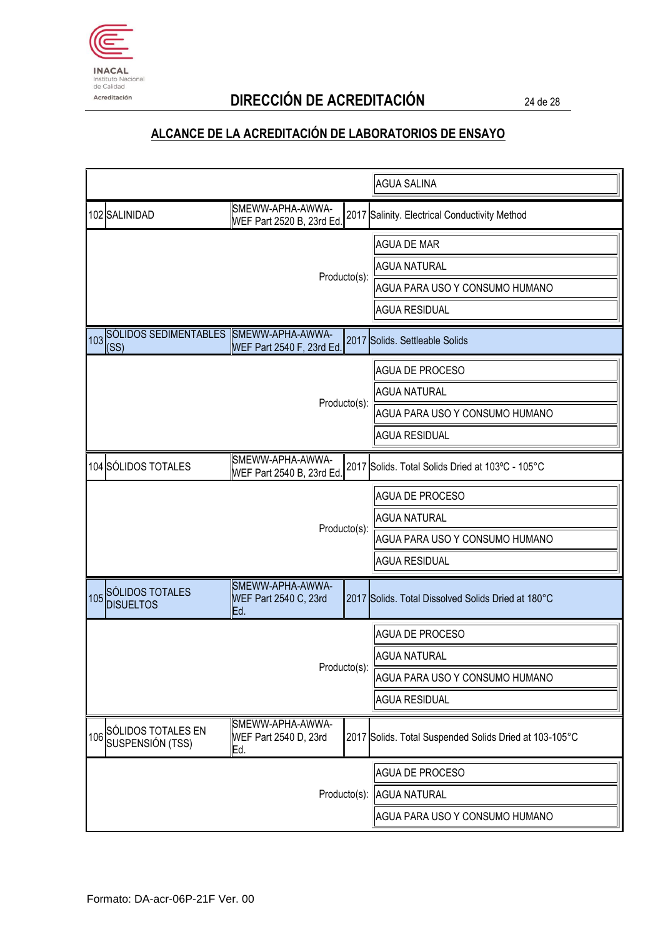

# Acreditación **DIRECCIÓN DE ACREDITACIÓN** 24 de 28

|                                            |                                                  |                           | <b>AGUA SALINA</b>                                     |
|--------------------------------------------|--------------------------------------------------|---------------------------|--------------------------------------------------------|
| 102 SALINIDAD                              | SMEWW-APHA-AWWA-<br>WEF Part 2520 B, 23rd Ed.    |                           | 2017 Salinity. Electrical Conductivity Method          |
|                                            |                                                  |                           | <b>AGUA DE MAR</b>                                     |
|                                            |                                                  |                           | <b>AGUA NATURAL</b>                                    |
|                                            |                                                  | Producto(s):              | AGUA PARA USO Y CONSUMO HUMANO                         |
|                                            |                                                  |                           | <b>AGUA RESIDUAL</b>                                   |
| 103 SÓLIDOS SEDIMENTABLES<br>(SS)          | SMEWW-APHA-AWWA-<br>WEF Part 2540 F, 23rd Ed.    |                           | 2017 Solids. Settleable Solids                         |
|                                            |                                                  | <b>AGUA DE PROCESO</b>    |                                                        |
|                                            |                                                  |                           | <b>AGUA NATURAL</b>                                    |
|                                            |                                                  | Producto(s):              | AGUA PARA USO Y CONSUMO HUMANO                         |
|                                            |                                                  |                           | <b>AGUA RESIDUAL</b>                                   |
| 104 SÓLIDOS TOTALES                        | SMEWW-APHA-AWWA-<br>WEF Part 2540 B, 23rd Ed.    |                           | 2017 Solids. Total Solids Dried at 103°C - 105°C       |
|                                            |                                                  |                           | <b>AGUA DE PROCESO</b>                                 |
|                                            |                                                  |                           | <b>AGUA NATURAL</b>                                    |
|                                            |                                                  | Producto(s):              | AGUA PARA USO Y CONSUMO HUMANO                         |
|                                            |                                                  |                           | <b>AGUA RESIDUAL</b>                                   |
| 105 SÓLIDOS TOTALES<br><b>DISUELTOS</b>    | SMEWW-APHA-AWWA-<br>WEF Part 2540 C, 23rd<br>Ed. |                           | 2017 Solids. Total Dissolved Solids Dried at 180°C     |
|                                            |                                                  |                           | <b>AGUA DE PROCESO</b>                                 |
|                                            |                                                  |                           | <b>AGUA NATURAL</b>                                    |
|                                            |                                                  | Producto(s):              | AGUA PARA USO Y CONSUMO HUMANO                         |
|                                            |                                                  |                           | <b>AGUA RESIDUAL</b>                                   |
| 106 SÓLIDOS TOTALES EN<br>SUSPENSIÓN (TSS) | SMEWW-APHA-AWWA-<br>WEF Part 2540 D, 23rd<br>Ed. |                           | 2017 Solids. Total Suspended Solids Dried at 103-105°C |
|                                            |                                                  |                           | <b>AGUA DE PROCESO</b>                                 |
|                                            |                                                  | Producto(s): AGUA NATURAL |                                                        |
|                                            |                                                  |                           | AGUA PARA USO Y CONSUMO HUMANO                         |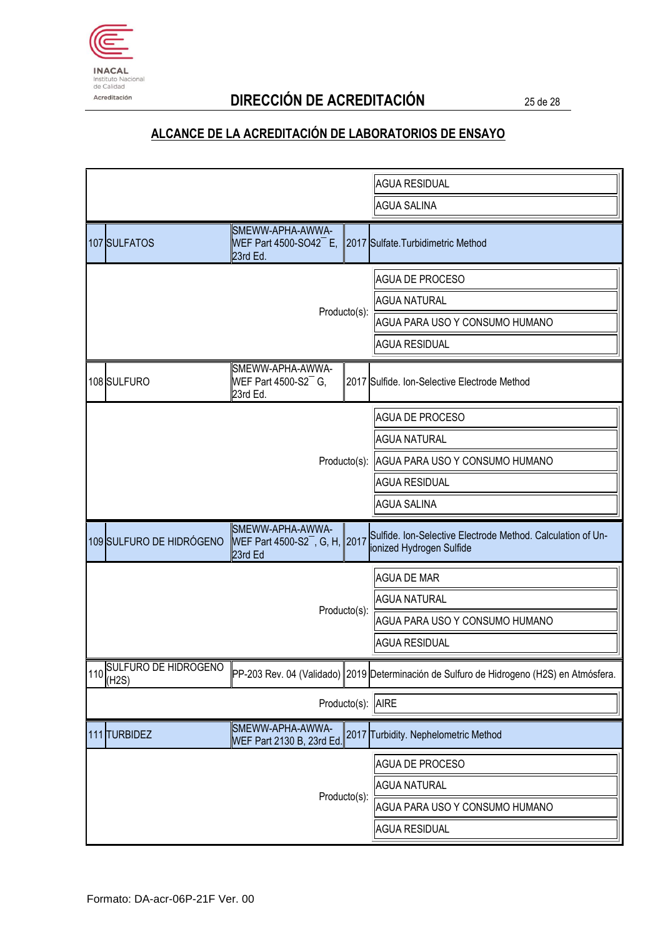

# Acreditación **DIRECCIÓN DE ACREDITACIÓN** 25 de 28

|                          |                                                                  |                                | <b>AGUA RESIDUAL</b>                                                                     |
|--------------------------|------------------------------------------------------------------|--------------------------------|------------------------------------------------------------------------------------------|
|                          |                                                                  | <b>AGUA SALINA</b>             |                                                                                          |
| 107 SULFATOS             | SMEWW-APHA-AWWA-<br>WEF Part 4500-SO42 $^-$ E,<br>23rd Ed.       |                                | 2017 Sulfate. Turbidimetric Method                                                       |
|                          |                                                                  |                                | <b>AGUA DE PROCESO</b>                                                                   |
|                          |                                                                  |                                | <b>AGUA NATURAL</b>                                                                      |
|                          | Producto(s):                                                     | AGUA PARA USO Y CONSUMO HUMANO |                                                                                          |
|                          |                                                                  |                                | <b>AGUA RESIDUAL</b>                                                                     |
| 108 SULFURO              | SMEWW-APHA-AWWA-<br>WEF Part 4500-S2 <sup>-</sup> G,<br>23rd Ed. |                                | 2017 Sulfide. Ion-Selective Electrode Method                                             |
|                          |                                                                  | <b>AGUA DE PROCESO</b>         |                                                                                          |
|                          |                                                                  | <b>AGUA NATURAL</b>            |                                                                                          |
|                          |                                                                  |                                | Producto(s): AGUA PARA USO Y CONSUMO HUMANO                                              |
|                          |                                                                  |                                | <b>AGUA RESIDUAL</b>                                                                     |
|                          |                                                                  |                                | <b>AGUA SALINA</b>                                                                       |
| 109 SULFURO DE HIDRÓGENO | SMEWW-APHA-AWWA-<br>WEF Part 4500-S2, G, H, 2017<br>23rd Ed      |                                | Sulfide. Ion-Selective Electrode Method. Calculation of Un-<br>ionized Hydrogen Sulfide  |
|                          |                                                                  |                                | <b>AGUA DE MAR</b>                                                                       |
|                          |                                                                  |                                | <b>AGUA NATURAL</b>                                                                      |
|                          |                                                                  | Producto(s):                   | AGUA PARA USO Y CONSUMO HUMANO                                                           |
|                          |                                                                  |                                | <b>AGUA RESIDUAL</b>                                                                     |
| 110 SULFURO DE HIDROGENO |                                                                  |                                | PP-203 Rev. 04 (Validado) 2019 Determinación de Sulfuro de Hidrogeno (H2S) en Atmósfera. |
| Producto(s): AIRE        |                                                                  |                                |                                                                                          |
| 111 TURBIDEZ             | SMEWW-APHA-AWWA-<br>WEF Part 2130 B, 23rd Ed.                    |                                | 2017 Turbidity. Nephelometric Method                                                     |
|                          |                                                                  | <b>AGUA DE PROCESO</b>         |                                                                                          |
| Producto(s):             |                                                                  |                                | <b>AGUA NATURAL</b>                                                                      |
|                          |                                                                  |                                | AGUA PARA USO Y CONSUMO HUMANO                                                           |
|                          |                                                                  |                                | <b>AGUA RESIDUAL</b>                                                                     |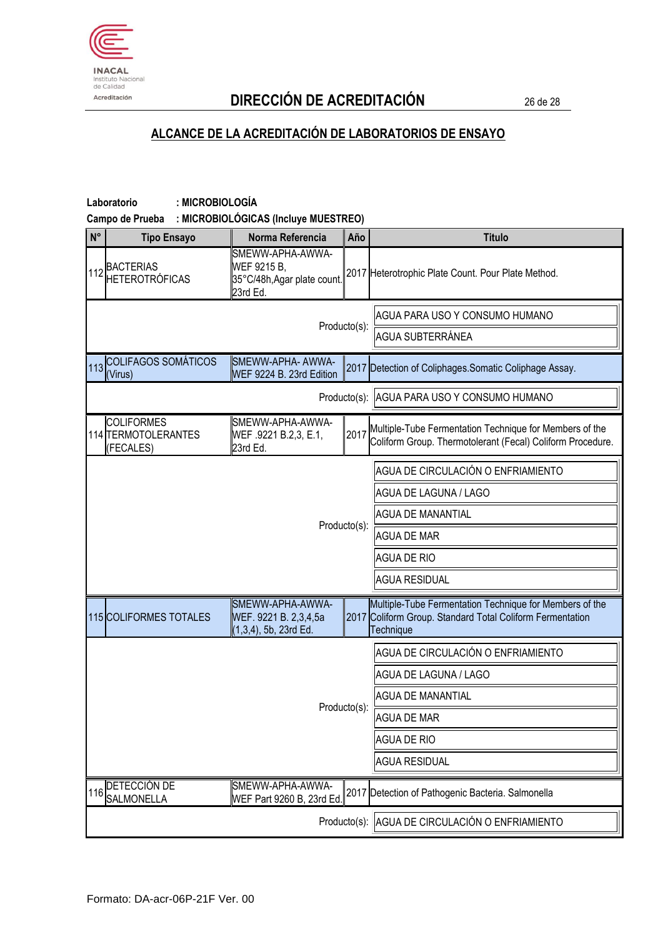

# Acreditación **DIRECCIÓN DE ACREDITACIÓN** 26 de 28

| : MICROBIOLOGÍA<br>Laboratorio<br>: MICROBIOLÓGICAS (Incluye MUESTREO)<br>Campo de Prueba |                                                                            |                          |                                                                                                                                   |  |  |  |
|-------------------------------------------------------------------------------------------|----------------------------------------------------------------------------|--------------------------|-----------------------------------------------------------------------------------------------------------------------------------|--|--|--|
| N°<br><b>Tipo Ensayo</b>                                                                  | Norma Referencia                                                           | Año                      | <b>Titulo</b>                                                                                                                     |  |  |  |
| 112 BACTERIAS<br><b>HETEROTRÓFICAS</b>                                                    | SMEWW-APHA-AWWA-<br>WEF 9215 B,<br>35°C/48h, Agar plate count.<br>23rd Ed. |                          | 2017 Heterotrophic Plate Count. Pour Plate Method.                                                                                |  |  |  |
|                                                                                           |                                                                            |                          | AGUA PARA USO Y CONSUMO HUMANO                                                                                                    |  |  |  |
|                                                                                           |                                                                            | Producto(s):             | AGUA SUBTERRÁNEA                                                                                                                  |  |  |  |
| <b>COLIFAGOS SOMÁTICOS</b><br>113<br>(Virus)                                              | SMEWW-APHA- AWWA-<br>WEF 9224 B. 23rd Edition                              |                          | 2017 Detection of Coliphages. Somatic Coliphage Assay.                                                                            |  |  |  |
|                                                                                           |                                                                            |                          | Producto(s): AGUA PARA USO Y CONSUMO HUMANO                                                                                       |  |  |  |
| <b>COLIFORMES</b><br>114 TERMOTOLERANTES<br>(FECALES)                                     | SMEWW-APHA-AWWA-<br>WEF .9221 B.2,3, E.1,<br>23rd Ed.                      | 2017                     | Multiple-Tube Fermentation Technique for Members of the<br>Coliform Group. Thermotolerant (Fecal) Coliform Procedure.             |  |  |  |
|                                                                                           |                                                                            |                          | AGUA DE CIRCULACIÓN O ENFRIAMIENTO                                                                                                |  |  |  |
|                                                                                           |                                                                            |                          | <b>AGUA DE LAGUNA / LAGO</b>                                                                                                      |  |  |  |
|                                                                                           |                                                                            |                          | <b>AGUA DE MANANTIAL</b>                                                                                                          |  |  |  |
|                                                                                           |                                                                            | Producto(s):             | <b>AGUA DE MAR</b>                                                                                                                |  |  |  |
|                                                                                           |                                                                            |                          | <b>AGUA DE RIO</b>                                                                                                                |  |  |  |
|                                                                                           |                                                                            |                          | <b>AGUA RESIDUAL</b>                                                                                                              |  |  |  |
| 115 COLIFORMES TOTALES                                                                    | SMEWW-APHA-AWWA-<br>WEF. 9221 B. 2,3,4,5a<br>(1,3,4), 5b, 23rd Ed.         |                          | Multiple-Tube Fermentation Technique for Members of the<br>2017 Coliform Group. Standard Total Coliform Fermentation<br>Technique |  |  |  |
|                                                                                           |                                                                            |                          | AGUA DE CIRCULACIÓN O ENFRIAMIENTO                                                                                                |  |  |  |
|                                                                                           |                                                                            |                          | <b>AGUA DE LAGUNA / LAGO</b>                                                                                                      |  |  |  |
|                                                                                           | Producto(s):                                                               | <b>AGUA DE MANANTIAL</b> |                                                                                                                                   |  |  |  |
|                                                                                           |                                                                            | <b>AGUA DE MAR</b>       |                                                                                                                                   |  |  |  |
|                                                                                           |                                                                            | <b>AGUA DE RIO</b>       |                                                                                                                                   |  |  |  |
|                                                                                           |                                                                            |                          | <b>AGUA RESIDUAL</b>                                                                                                              |  |  |  |
| 116 DETECCIÓN DE<br><b>SALMONELLA</b>                                                     | SMEWW-APHA-AWWA-<br>WEF Part 9260 B, 23rd Ed.                              |                          | 2017 Detection of Pathogenic Bacteria. Salmonella                                                                                 |  |  |  |
|                                                                                           |                                                                            | Producto(s):             | AGUA DE CIRCULACIÓN O ENFRIAMIENTO                                                                                                |  |  |  |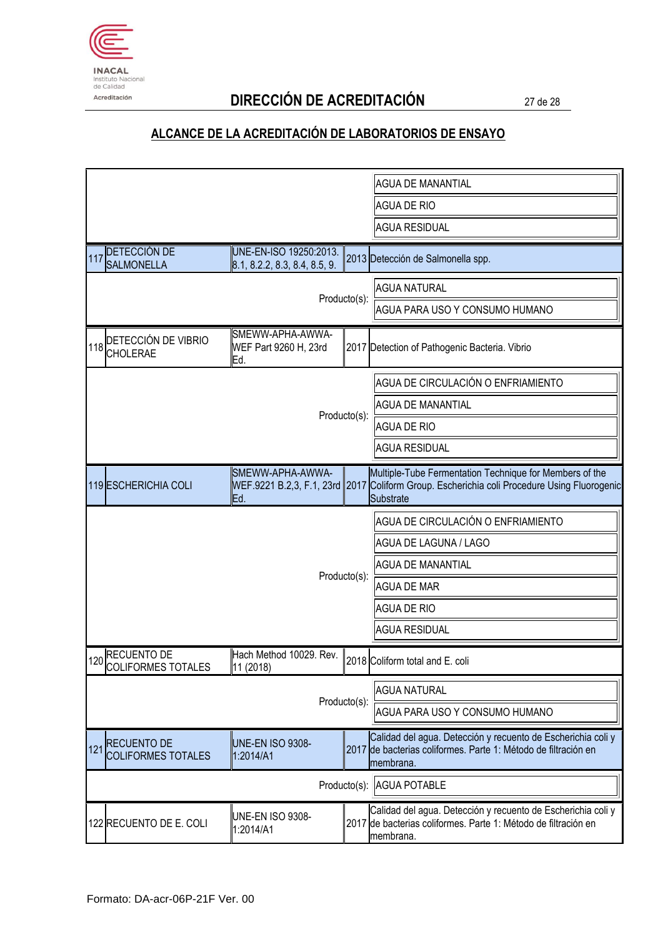

# Acreditación **DIRECCIÓN DE ACREDITACIÓN** 27 de 28

|                                                        |                                                         |                          | <b>AGUA DE MANANTIAL</b>                                                                                                                                            |
|--------------------------------------------------------|---------------------------------------------------------|--------------------------|---------------------------------------------------------------------------------------------------------------------------------------------------------------------|
|                                                        |                                                         |                          | <b>AGUA DE RIO</b>                                                                                                                                                  |
|                                                        |                                                         | <b>AGUA RESIDUAL</b>     |                                                                                                                                                                     |
| 117 DETECCIÓN DE<br><b>SALMONELLA</b>                  | UNE-EN-ISO 19250:2013.<br>8.1, 8.2.2, 8.3, 8.4, 8.5, 9. |                          | 2013 Detección de Salmonella spp.                                                                                                                                   |
|                                                        |                                                         |                          | <b>AGUA NATURAL</b>                                                                                                                                                 |
|                                                        |                                                         | Producto(s):             | AGUA PARA USO Y CONSUMO HUMANO                                                                                                                                      |
| 118 DETECCIÓN DE VIBRIO                                | SMEWW-APHA-AWWA-<br>WEF Part 9260 H, 23rd<br>Ed.        |                          | 2017 Detection of Pathogenic Bacteria. Vibrio                                                                                                                       |
|                                                        |                                                         |                          | AGUA DE CIRCULACIÓN O ENFRIAMIENTO                                                                                                                                  |
|                                                        |                                                         | Producto(s):             | AGUA DE MANANTIAL                                                                                                                                                   |
|                                                        |                                                         |                          | <b>AGUA DE RIO</b>                                                                                                                                                  |
|                                                        |                                                         |                          | <b>AGUA RESIDUAL</b>                                                                                                                                                |
| 119 ESCHERICHIA COLI                                   | SMEWW-APHA-AWWA-<br>lEd.                                |                          | Multiple-Tube Fermentation Technique for Members of the<br>WEF.9221 B.2,3, F.1, 23rd 2017 Coliform Group. Escherichia coli Procedure Using Fluorogenic<br>Substrate |
|                                                        |                                                         |                          | AGUA DE CIRCULACIÓN O ENFRIAMIENTO                                                                                                                                  |
|                                                        |                                                         | AGUA DE LAGUNA / LAGO    |                                                                                                                                                                     |
|                                                        |                                                         | <b>AGUA DE MANANTIAL</b> |                                                                                                                                                                     |
|                                                        |                                                         | Producto(s):             | <b>AGUA DE MAR</b>                                                                                                                                                  |
|                                                        |                                                         |                          | <b>AGUA DE RIO</b>                                                                                                                                                  |
|                                                        |                                                         |                          | <b>AGUA RESIDUAL</b>                                                                                                                                                |
| 120 RECUENTO DE<br>COLIFORMES TOTALES                  | Hach Method 10029. Rev.<br>11 (2018)                    |                          | 2018 Coliform total and E. coli                                                                                                                                     |
|                                                        |                                                         |                          | <b>AGUA NATURAL</b>                                                                                                                                                 |
| Producto(s):                                           |                                                         |                          | AGUA PARA USO Y CONSUMO HUMANO                                                                                                                                      |
| <b>RECUENTO DE</b><br>121<br><b>COLIFORMES TOTALES</b> | <b>UNE-EN ISO 9308-</b><br>1:2014/A1                    |                          | Calidad del agua. Detección y recuento de Escherichia coli y<br>2017 de bacterias coliformes. Parte 1: Método de filtración en<br>membrana.                         |
| Producto(s):                                           |                                                         |                          | <b>AGUA POTABLE</b>                                                                                                                                                 |
| 122 RECUENTO DE E. COLI                                | UNE-EN ISO 9308-<br>1:2014/A1                           |                          | Calidad del agua. Detección y recuento de Escherichia coli y<br>2017 de bacterias coliformes. Parte 1: Método de filtración en<br>membrana.                         |